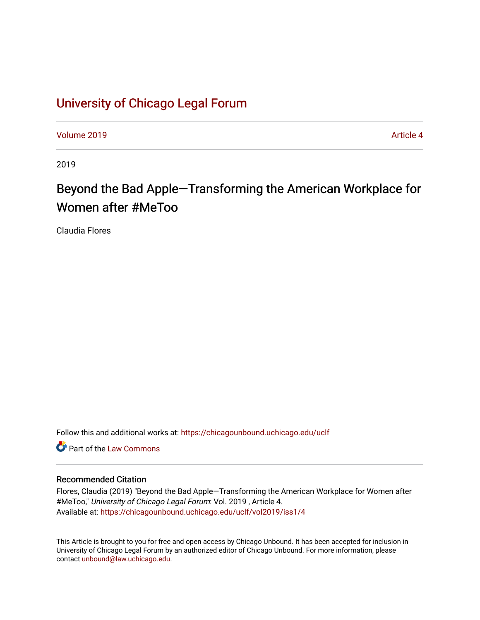# [University of Chicago Legal Forum](https://chicagounbound.uchicago.edu/uclf)

[Volume 2019](https://chicagounbound.uchicago.edu/uclf/vol2019) **Article 4** Article 4

2019

# Beyond the Bad Apple-Transforming the American Workplace for Women after #MeToo

Claudia Flores

Follow this and additional works at: [https://chicagounbound.uchicago.edu/uclf](https://chicagounbound.uchicago.edu/uclf?utm_source=chicagounbound.uchicago.edu%2Fuclf%2Fvol2019%2Fiss1%2F4&utm_medium=PDF&utm_campaign=PDFCoverPages) 

**C** Part of the [Law Commons](http://network.bepress.com/hgg/discipline/578?utm_source=chicagounbound.uchicago.edu%2Fuclf%2Fvol2019%2Fiss1%2F4&utm_medium=PDF&utm_campaign=PDFCoverPages)

# Recommended Citation

Flores, Claudia (2019) "Beyond the Bad Apple—Transforming the American Workplace for Women after #MeToo," University of Chicago Legal Forum: Vol. 2019, Article 4. Available at: [https://chicagounbound.uchicago.edu/uclf/vol2019/iss1/4](https://chicagounbound.uchicago.edu/uclf/vol2019/iss1/4?utm_source=chicagounbound.uchicago.edu%2Fuclf%2Fvol2019%2Fiss1%2F4&utm_medium=PDF&utm_campaign=PDFCoverPages) 

This Article is brought to you for free and open access by Chicago Unbound. It has been accepted for inclusion in University of Chicago Legal Forum by an authorized editor of Chicago Unbound. For more information, please contact [unbound@law.uchicago.edu](mailto:unbound@law.uchicago.edu).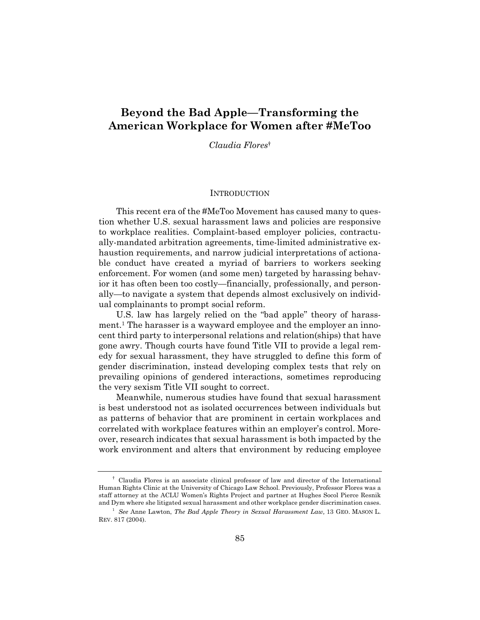# **Beyond the Bad Apple—Transforming the American Workplace for Women after #MeToo**

*Claudia Flores*†

#### **INTRODUCTION**

This recent era of the #MeToo Movement has caused many to question whether U.S. sexual harassment laws and policies are responsive to workplace realities. Complaint-based employer policies, contractually-mandated arbitration agreements, time-limited administrative exhaustion requirements, and narrow judicial interpretations of actionable conduct have created a myriad of barriers to workers seeking enforcement. For women (and some men) targeted by harassing behavior it has often been too costly—financially, professionally, and personally—to navigate a system that depends almost exclusively on individual complainants to prompt social reform.

U.S. law has largely relied on the "bad apple" theory of harassment.1 The harasser is a wayward employee and the employer an innocent third party to interpersonal relations and relation(ships) that have gone awry. Though courts have found Title VII to provide a legal remedy for sexual harassment, they have struggled to define this form of gender discrimination, instead developing complex tests that rely on prevailing opinions of gendered interactions, sometimes reproducing the very sexism Title VII sought to correct.

Meanwhile, numerous studies have found that sexual harassment is best understood not as isolated occurrences between individuals but as patterns of behavior that are prominent in certain workplaces and correlated with workplace features within an employer's control. Moreover, research indicates that sexual harassment is both impacted by the work environment and alters that environment by reducing employee

<sup>†</sup> Claudia Flores is an associate clinical professor of law and director of the International Human Rights Clinic at the University of Chicago Law School. Previously, Professor Flores was a staff attorney at the ACLU Women's Rights Project and partner at Hughes Socol Pierce Resnik

and Dym where she litigated sexual harassment and other workplace gender discrimination cases. 1 *See* Anne Lawton, *The Bad Apple Theory in Sexual Harassment Law,* 13 GEO. MASON L. REV. 817 (2004).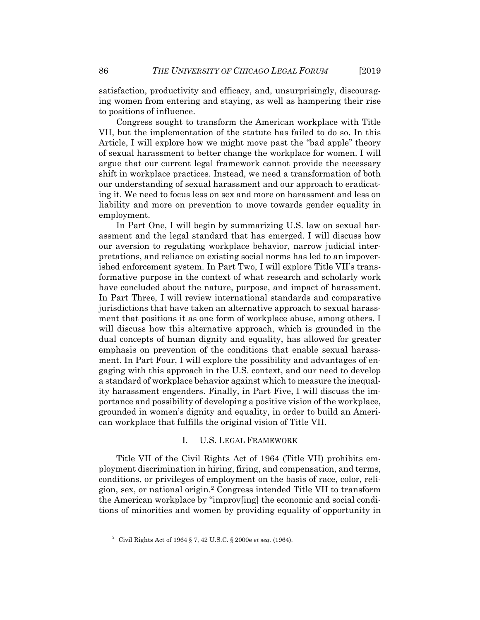satisfaction, productivity and efficacy, and, unsurprisingly, discouraging women from entering and staying, as well as hampering their rise to positions of influence.

Congress sought to transform the American workplace with Title VII, but the implementation of the statute has failed to do so. In this Article, I will explore how we might move past the "bad apple" theory of sexual harassment to better change the workplace for women. I will argue that our current legal framework cannot provide the necessary shift in workplace practices. Instead, we need a transformation of both our understanding of sexual harassment and our approach to eradicating it. We need to focus less on sex and more on harassment and less on liability and more on prevention to move towards gender equality in employment.

In Part One, I will begin by summarizing U.S. law on sexual harassment and the legal standard that has emerged. I will discuss how our aversion to regulating workplace behavior, narrow judicial interpretations, and reliance on existing social norms has led to an impoverished enforcement system. In Part Two, I will explore Title VII's transformative purpose in the context of what research and scholarly work have concluded about the nature, purpose, and impact of harassment. In Part Three, I will review international standards and comparative jurisdictions that have taken an alternative approach to sexual harassment that positions it as one form of workplace abuse, among others. I will discuss how this alternative approach, which is grounded in the dual concepts of human dignity and equality, has allowed for greater emphasis on prevention of the conditions that enable sexual harassment. In Part Four, I will explore the possibility and advantages of engaging with this approach in the U.S. context, and our need to develop a standard of workplace behavior against which to measure the inequality harassment engenders. Finally, in Part Five, I will discuss the importance and possibility of developing a positive vision of the workplace, grounded in women's dignity and equality, in order to build an American workplace that fulfills the original vision of Title VII.

### I. U.S. LEGAL FRAMEWORK

Title VII of the Civil Rights Act of 1964 (Title VII) prohibits employment discrimination in hiring, firing, and compensation, and terms, conditions, or privileges of employment on the basis of race, color, religion, sex, or national origin.2 Congress intended Title VII to transform the American workplace by "improv[ing] the economic and social conditions of minorities and women by providing equality of opportunity in

<sup>2</sup> Civil Rights Act of 1964 § 7, 42 U.S.C. § 2000e *et seq.* (1964).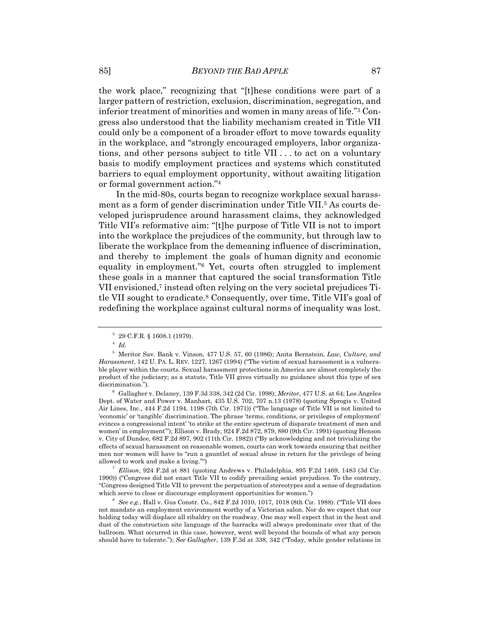the work place," recognizing that "[t]hese conditions were part of a larger pattern of restriction, exclusion, discrimination, segregation, and inferior treatment of minorities and women in many areas of life."3 Congress also understood that the liability mechanism created in Title VII could only be a component of a broader effort to move towards equality in the workplace, and "strongly encouraged employers, labor organizations, and other persons subject to title VII . . . to act on a voluntary basis to modify employment practices and systems which constituted barriers to equal employment opportunity, without awaiting litigation or formal government action."4

In the mid-80s, courts began to recognize workplace sexual harassment as a form of gender discrimination under Title VII.5 As courts developed jurisprudence around harassment claims, they acknowledged Title VII's reformative aim: "[t]he purpose of Title VII is not to import into the workplace the prejudices of the community, but through law to liberate the workplace from the demeaning influence of discrimination, and thereby to implement the goals of human dignity and economic equality in employment."6 Yet, courts often struggled to implement these goals in a manner that captured the social transformation Title VII envisioned,7 instead often relying on the very societal prejudices Title VII sought to eradicate.8 Consequently, over time, Title VII's goal of redefining the workplace against cultural norms of inequality was lost.

 *Ellison*, 924 F.2d at 881 (quoting Andrews v. Philadelphia, 895 F.2d 1469, 1483 (3d Cir. 1990)) ("Congress did not enact Title VII to codify prevailing sexist prejudices. To the contrary, "Congress designed Title VII to prevent the perpetuation of stereotypes and a sense of degradation which serve to close or discourage employment opportunities for women.")

 *See e.g.*, Hall v. Gus Constr. Co*.*, 842 F.2d 1010, 1017, 1018 (8th Cir. 1988): ("Title VII does not mandate an employment environment worthy of a Victorian salon. Nor do we expect that our holding today will displace all ribaldry on the roadway. One may well expect that in the heat and dust of the construction site language of the barracks will always predominate over that of the ballroom. What occurred in this case, however, went well beyond the bounds of what any person should have to tolerate."); *See Gallagher*, 139 F.3d at 338, 342 ("Today, while gender relations in

<sup>3</sup> 29 C.F.R. § 1608.1 (1979).

 $^4$  *Id.* 

<sup>5</sup> Meritor Sav. Bank v. Vinson, 477 U.S. 57, 60 (1986); Anita Bernstein, *Law, Culture, and Harassment*, 142 U. PA. L. REV. 1227, 1267 (1994) ("The victim of sexual harassment is a vulnerable player within the courts. Sexual harassment protections in America are almost completely the product of the judiciary; as a statute, Title VII gives virtually no guidance about this type of sex discrimination.").

Gallagher v. Delaney, 139 F.3d 338, 342 (2d Cir. 1998); *Meritor*, 477 U.S. at 64; Los Angeles Dept. of Water and Power v. Manhart, 435 U.S. 702, 707 n.13 (1978) (quoting Sprogis v. United Air Lines, Inc., 444 F.2d 1194, 1198 (7th Cir. 1971)) ("The language of Title VII is not limited to 'economic' or 'tangible' discrimination. The phrase 'terms, conditions, or privileges of employment' evinces a congressional intent' 'to strike at the entire spectrum of disparate treatment of men and women' in employment'"); Ellison v. Brady*,* 924 F.2d 872, 879, 880 (9th Cir. 1991) (quoting Henson v. City of Dundee*,* 682 F.2d 897, 902 (11th Cir. 1982)) ("By acknowledging and not trivializing the effects of sexual harassment on reasonable women, courts can work towards ensuring that neither men nor women will have to "run a gauntlet of sexual abuse in return for the privilege of being allowed to work and make a living."")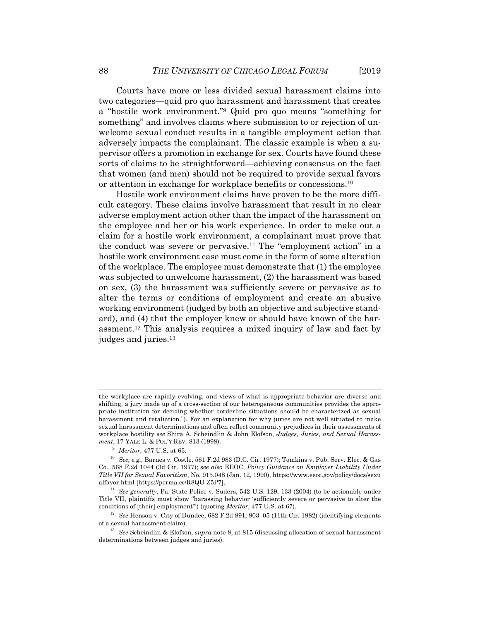Courts have more or less divided sexual harassment claims into two categories—quid pro quo harassment and harassment that creates a "hostile work environment."9 Quid pro quo means "something for something" and involves claims where submission to or rejection of unwelcome sexual conduct results in a tangible employment action that adversely impacts the complainant. The classic example is when a supervisor offers a promotion in exchange for sex. Courts have found these sorts of claims to be straightforward—achieving consensus on the fact that women (and men) should not be required to provide sexual favors or attention in exchange for workplace benefits or concessions.10

Hostile work environment claims have proven to be the more difficult category. These claims involve harassment that result in no clear adverse employment action other than the impact of the harassment on the employee and her or his work experience. In order to make out a claim for a hostile work environment, a complainant must prove that the conduct was severe or pervasive.11 The "employment action" in a hostile work environment case must come in the form of some alteration of the workplace. The employee must demonstrate that (1) the employee was subjected to unwelcome harassment, (2) the harassment was based on sex, (3) the harassment was sufficiently severe or pervasive as to alter the terms or conditions of employment and create an abusive working environment (judged by both an objective and subjective standard), and (4) that the employer knew or should have known of the harassment.12 This analysis requires a mixed inquiry of law and fact by judges and juries.13

the workplace are rapidly evolving, and views of what is appropriate behavior are diverse and shifting, a jury made up of a cross-section of our heterogeneous communities provides the appropriate institution for deciding whether borderline situations should be characterized as sexual harassment and retaliation."). For an explanation for why juries are not well situated to make sexual harassment determinations and often reflect community prejudices in their assessments of workplace hostility *see* Shira A. Scheindlin & John Elofson, *Judges, Juries, and Sexual Harassment*, 17 YALE L. & POL'Y REV*.* 813 (1998).

 $9$  Meritor, 477 U.S. at 65.

<sup>&</sup>lt;sup>10</sup> See, e.g., Barnes v. Costle, 561 F.2d 983 (D.C. Cir. 1977); Tomkins v. Pub. Serv. Elec. & Gas Co., 568 F.2d 1044 (3d Cir. 1977); *see also* EEOC, *Policy Guidance on Employer Liability Under Title VII for Sexual Favoritism*, No. 915.048 (Jan. 12, 1990), https://www.eeoc.gov/policy/docs/sexu alfavor.html [https://perma.cc/R8QU-Z5P7].

<sup>11</sup> *See generally*, Pa. State Police v. Suders, 542 U.S. 129, 133 (2004) (to be actionable under Title VII, plaintiffs must show "harassing behavior 'sufficiently severe or pervasive to alter the conditions of [their] employment"') (quoting *Meritor*, 477 U.S. at 67).<br><sup>12</sup> See Henson v. City of Dundee, 682 F.2d 891, 903–05 (11th Cir. 1982) (identifying elements

of a sexual harassment claim). 13 *See* Scheindlin & Elofson, *supra* note 8, at 815 (discussing allocation of sexual harassment

determinations between judges and juries).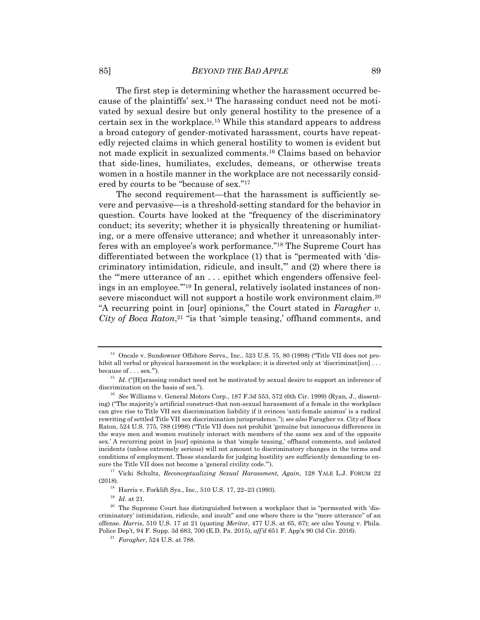The first step is determining whether the harassment occurred because of the plaintiffs' sex.14 The harassing conduct need not be motivated by sexual desire but only general hostility to the presence of a certain sex in the workplace.15 While this standard appears to address a broad category of gender-motivated harassment, courts have repeatedly rejected claims in which general hostility to women is evident but not made explicit in sexualized comments.16 Claims based on behavior that side-lines, humiliates, excludes, demeans, or otherwise treats women in a hostile manner in the workplace are not necessarily considered by courts to be "because of sex."17

The second requirement—that the harassment is sufficiently severe and pervasive—is a threshold-setting standard for the behavior in question. Courts have looked at the "frequency of the discriminatory conduct; its severity; whether it is physically threatening or humiliating, or a mere offensive utterance; and whether it unreasonably interferes with an employee's work performance."18 The Supreme Court has differentiated between the workplace (1) that is "permeated with 'discriminatory intimidation, ridicule, and insult,'" and (2) where there is the "'mere utterance of an . . . epithet which engenders offensive feelings in an employee.'"19 In general, relatively isolated instances of nonsevere misconduct will not support a hostile work environment claim.20 "A recurring point in [our] opinions," the Court stated in *Faragher v. City of Boca Raton*,<sup>21</sup> "is that 'simple teasing,' offhand comments, and

(2018). <sup>18</sup> Harris v. Forklift Sys., Inc., 510 U.S. 17, 22–23 (1993). <sup>19</sup> *Id.* at 21.

<sup>&</sup>lt;sup>14</sup> Oncale v. Sundowner Offshore Servs., Inc., 523 U.S. 75, 80 (1998) ("Title VII does not prohibit all verbal or physical harassment in the workplace; it is directed only at 'discriminat[ion] . . .

because of . . . sex."').<br><sup>15</sup> *Id.* ("[H]arassing conduct need not be motivated by sexual desire to support an inference of discrimination on the basis of sex.").

<sup>&</sup>lt;sup>16</sup> See Williams v. General Motors Corp., 187 F.3d 553, 572 (6th Cir. 1999) (Ryan, J., dissenting) ("The majority's artificial construct-that non-sexual harassment of a female in the workplace can give rise to Title VII sex discrimination liability if it evinces 'anti-female animus' is a radical rewriting of settled Title VII sex discrimination jurisprudence."); *see also* Faragher vs. City of Boca Raton, 524 U.S. 775, 788 (1998) ("Title VII does not prohibit 'genuine but innocuous differences in the ways men and women routinely interact with members of the same sex and of the opposite sex.' A recurring point in [our] opinions is that 'simple teasing,' offhand comments, and isolated incidents (unless extremely serious) will not amount to discriminatory changes in the terms and conditions of employment. These standards for judging hostility are sufficiently demanding to ensure the Title VII does not become a 'general civility code.'"). 17 Vicki Schultz, *Reconceptualizing Sexual Harassment, Again*, 128 YALE L.J. FORUM 22

<sup>&</sup>lt;sup>20</sup> The Supreme Court has distinguished between a workplace that is "permeated with 'discriminatory' intimidation, ridicule, and insult" and one where there is the "mere utterance" of an offense. *Harris*, 510 U.S. 17 at 21 (quoting *Meritor*, 477 U.S. at 65, 67); *see also* Young v. Phila. Police Dep't, 94 F. Supp. 3d 683, 700 (E.D. Pa. 2015), *aff'd* 651 F. App'x 90 (3d Cir. 2016). 21 *Faragher*, 524 U.S. at 788.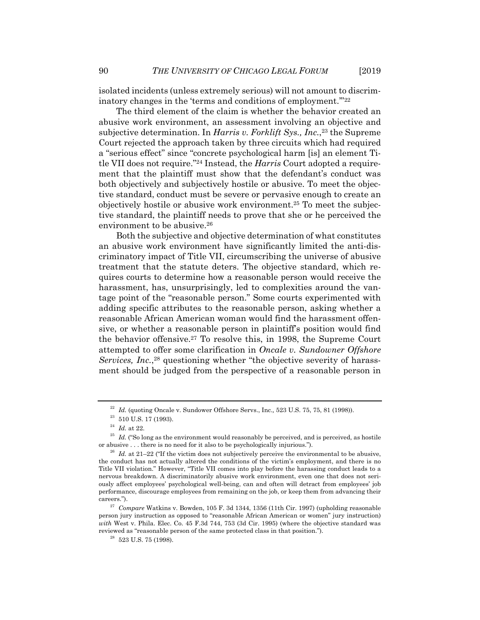isolated incidents (unless extremely serious) will not amount to discriminatory changes in the 'terms and conditions of employment.'"22

The third element of the claim is whether the behavior created an abusive work environment, an assessment involving an objective and subjective determination. In *Harris v. Forklift Sys., Inc.*<sup>23</sup> the Supreme Court rejected the approach taken by three circuits which had required a "serious effect" since "concrete psychological harm [is] an element Title VII does not require."24 Instead, the *Harris* Court adopted a requirement that the plaintiff must show that the defendant's conduct was both objectively and subjectively hostile or abusive. To meet the objective standard, conduct must be severe or pervasive enough to create an objectively hostile or abusive work environment.25 To meet the subjective standard, the plaintiff needs to prove that she or he perceived the environment to be abusive.<sup>26</sup>

Both the subjective and objective determination of what constitutes an abusive work environment have significantly limited the anti-discriminatory impact of Title VII, circumscribing the universe of abusive treatment that the statute deters. The objective standard, which requires courts to determine how a reasonable person would receive the harassment, has, unsurprisingly, led to complexities around the vantage point of the "reasonable person." Some courts experimented with adding specific attributes to the reasonable person, asking whether a reasonable African American woman would find the harassment offensive, or whether a reasonable person in plaintiff's position would find the behavior offensive.27 To resolve this, in 1998, the Supreme Court attempted to offer some clarification in *Oncale v. Sundowner Offshore Services, Inc.*,<sup>28</sup> questioning whether "the objective severity of harassment should be judged from the perspective of a reasonable person in

<sup>22</sup> *Id.* (quoting Oncale v. Sundower Offshore Servs., Inc.*,* 523 U.S. 75, 75, 81 (1998)). 23 510 U.S. 17 (1993).

<sup>&</sup>lt;sup>24</sup> *Id.* at 22.<br><sup>25</sup> *Id.* ("So long as the environment would reasonably be perceived, and is perceived, as hostile or abusive . . . there is no need for it also to be psychologically injurious.").

 $^{26}$  *Id.* at 21–22 ("If the victim does not subjectively perceive the environmental to be abusive, the conduct has not actually altered the conditions of the victim's employment, and there is no Title VII violation." However, "Title VII comes into play before the harassing conduct leads to a nervous breakdown. A discriminatorily abusive work environment, even one that does not seriously affect employees' psychological well-being, can and often will detract from employees' job performance, discourage employees from remaining on the job, or keep them from advancing their careers."). 27 *Compare* Watkins v. Bowden, 105 F. 3d 1344, 1356 (11th Cir. 1997) (upholding reasonable

person jury instruction as opposed to "reasonable African American or women" jury instruction) *with* West v. Phila. Elec. Co. 45 F.3d 744, 753 (3d Cir. 1995) (where the objective standard was reviewed as "reasonable person of the same protected class in that position."). 28 523 U.S. 75 (1998).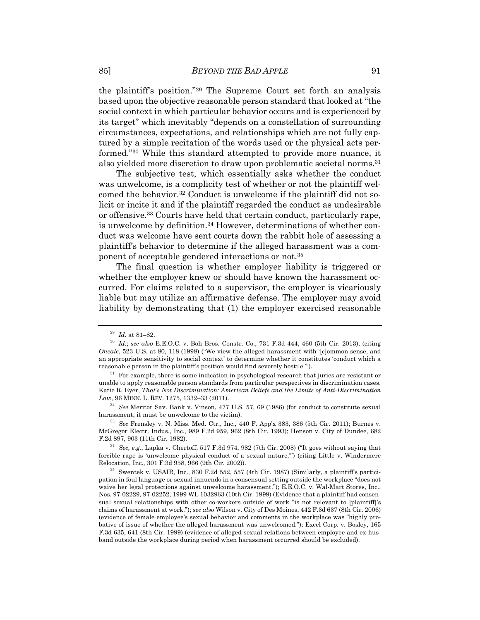the plaintiff's position."29 The Supreme Court set forth an analysis based upon the objective reasonable person standard that looked at "the social context in which particular behavior occurs and is experienced by its target" which inevitably "depends on a constellation of surrounding circumstances, expectations, and relationships which are not fully captured by a simple recitation of the words used or the physical acts performed."30 While this standard attempted to provide more nuance, it also yielded more discretion to draw upon problematic societal norms.<sup>31</sup>

The subjective test, which essentially asks whether the conduct was unwelcome, is a complicity test of whether or not the plaintiff welcomed the behavior.32 Conduct is unwelcome if the plaintiff did not solicit or incite it and if the plaintiff regarded the conduct as undesirable or offensive.33 Courts have held that certain conduct, particularly rape, is unwelcome by definition.34 However, determinations of whether conduct was welcome have sent courts down the rabbit hole of assessing a plaintiff's behavior to determine if the alleged harassment was a component of acceptable gendered interactions or not.35

The final question is whether employer liability is triggered or whether the employer knew or should have known the harassment occurred. For claims related to a supervisor, the employer is vicariously liable but may utilize an affirmative defense. The employer may avoid liability by demonstrating that (1) the employer exercised reasonable

<sup>32</sup> *See* Meritor Sav. Bank v. Vinson, 477 U.S. 57, 69 (1986) (for conduct to constitute sexual harassment, it must be unwelcome to the victim).

harassment, it must be unwelcome to the victim). 33 *See* Frensley v. N. Miss. Med. Ctr., Inc., 440 F. App'x 383, 386 (5th Cir. 2011); Burnes v. McGregor Electr. Indus., Inc., 989 F.2d 959, 962 (8th Cir. 1993); Henson v. City of Dundee, 682

<sup>29</sup> *Id.* at 81–82. 30 *Id.*; *see also* E.E.O.C. v. Boh Bros. Constr. Co., 731 F.3d 444, 460 (5th Cir. 2013), (citing *Oncale*, 523 U.S. at 80, 118 (1998) ("We view the alleged harassment with '[c]ommon sense, and an appropriate sensitivity to social context' to determine whether it constitutes 'conduct which a reasonable person in the plaintiff's position would find severely hostile.'"). 31 For example, there is some indication in psychological research that juries are resistant or

unable to apply reasonable person standards from particular perspectives in discrimination cases. Katie R. Eyer, *That's Not Discrimination: American Beliefs and the Limits of Anti-Discrimination* 

F.2d 897, 903 (11th Cir. 1982). 34 *See, e.g.*, Lapka v. Chertoff, 517 F.3d 974, 982 (7th Cir. 2008) ("It goes without saying that forcible rape is 'unwelcome physical conduct of a sexual nature.") (citing Little v. Windermere Relocation, Inc., 301 F.3d 958, 966 (9th Cir. 2002)).

 $35$  Swentek v. USAIR, Inc., 830 F.2d 552, 557 (4th Cir. 1987) (Similarly, a plaintiff's participation in foul language or sexual innuendo in a consensual setting outside the workplace "does not waive her legal protections against unwelcome harassment."); E.E.O.C. v. Wal-Mart Stores, Inc., Nos. 97-02229, 97-02252, 1999 WL 1032963 (10th Cir. 1999) (Evidence that a plaintiff had consensual sexual relationships with other co-workers outside of work "is not relevant to [plaintiff]'s claims of harassment at work."); *see also* Wilson v. City of Des Moines, 442 F.3d 637 (8th Cir. 2006) (evidence of female employee's sexual behavior and comments in the workplace was "highly probative of issue of whether the alleged harassment was unwelcomed."); Excel Corp. v. Bosley, 165 F.3d 635, 641 (8th Cir. 1999) (evidence of alleged sexual relations between employee and ex-husband outside the workplace during period when harassment occurred should be excluded).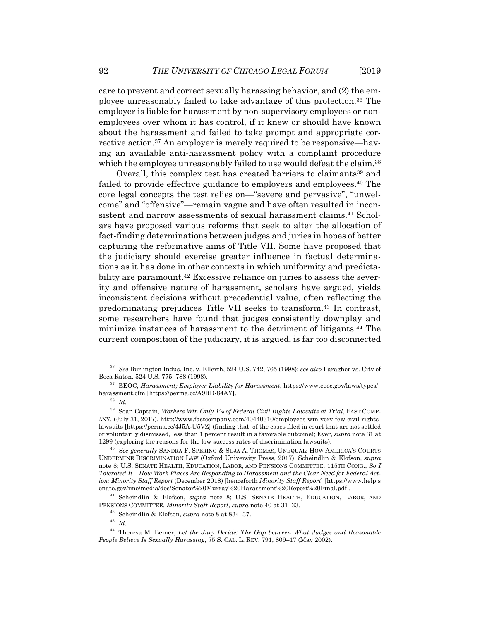care to prevent and correct sexually harassing behavior, and (2) the employee unreasonably failed to take advantage of this protection.36 The employer is liable for harassment by non-supervisory employees or nonemployees over whom it has control, if it knew or should have known about the harassment and failed to take prompt and appropriate corrective action.37 An employer is merely required to be responsive—having an available anti-harassment policy with a complaint procedure which the employee unreasonably failed to use would defeat the claim.<sup>38</sup>

Overall, this complex test has created barriers to claimants<sup>39</sup> and failed to provide effective guidance to employers and employees.40 The core legal concepts the test relies on—"severe and pervasive", "unwelcome" and "offensive"—remain vague and have often resulted in inconsistent and narrow assessments of sexual harassment claims.<sup>41</sup> Scholars have proposed various reforms that seek to alter the allocation of fact-finding determinations between judges and juries in hopes of better capturing the reformative aims of Title VII. Some have proposed that the judiciary should exercise greater influence in factual determinations as it has done in other contexts in which uniformity and predictability are paramount.<sup>42</sup> Excessive reliance on juries to assess the severity and offensive nature of harassment, scholars have argued, yields inconsistent decisions without precedential value, often reflecting the predominating prejudices Title VII seeks to transform.43 In contrast, some researchers have found that judges consistently downplay and minimize instances of harassment to the detriment of litigants.44 The current composition of the judiciary, it is argued, is far too disconnected

<sup>36</sup> *See* Burlington Indus. Inc. v. Ellerth, 524 U.S. 742, 765 (1998); *see also* Faragher vs. City of

<sup>&</sup>lt;sup>37</sup> EEOC, *Harassment; Employer Liability for Harassment*, https://www.eeoc.gov/laws/types/ harassment.cfm [https://perma.cc/A9RD-84AY]. 38 *Id.*

<sup>39</sup> Sean Captain, *Workers Win Only 1% of Federal Civil Rights Lawsuits at Trial*, FAST COMP-ANY, (July 31, 2017), http://www.fastcompany.com/40440310/employees-win-very-few-civil-rightslawsuits [https://perma.cc/4J5A-U5VZ] (finding that, of the cases filed in court that are not settled or voluntarily dismissed, less than 1 percent result in a favorable outcome); Eyer, *supra* note 31 at 1299 (exploring the reasons for the low success rates of discrimination lawsuits). 40 *See generally* SANDRA F. SPERINO & SUJA A. THOMAS, UNEQUAL: HOW AMERICA'S COURTS

UNDERMINE DISCRIMINATION LAW (Oxford University Press, 2017); Scheindlin & Elofson, *supra* note 8; U.S. SENATE HEALTH, EDUCATION, LABOR, AND PENSIONS COMMITTEE, 115TH CONG., *So I Tolerated It—How Work Places Are Responding to Harassment and the Clear Need for Federal Action: Minority Staff Report* (December 2018) [henceforth *Minority Staff Report*] [https://www.help.s enate.gov/imo/media/doc/Senator%20Murray%20Harassment%20Report%20Final.pdf]. 41 Scheindlin & Elofson, *supra* note 8; U.S. SENATE HEALTH, EDUCATION, LABOR, AND

PENSIONS COMMITTEE, Minority Staff Report, supra note 40 at 31–33.<br><sup>42</sup> Scheindlin & Elofson, *supra* note 8 at 834–37.<br><sup>43</sup> Id.<br><sup>44</sup> Theresa M. Beiner, *Let the Jury Decide: The Gap between What Judges and Reasonable* 

*People Believe Is Sexually Harassing*, 75 S. CAL. L. REV. 791, 809–17 (May 2002).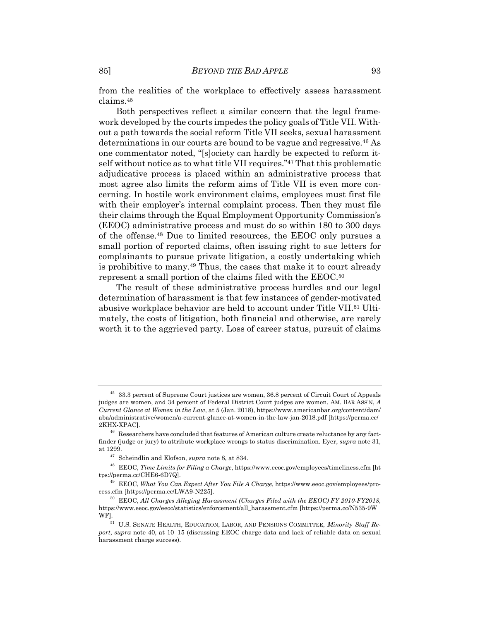from the realities of the workplace to effectively assess harassment claims.45

Both perspectives reflect a similar concern that the legal framework developed by the courts impedes the policy goals of Title VII. Without a path towards the social reform Title VII seeks, sexual harassment determinations in our courts are bound to be vague and regressive.46 As one commentator noted, "[s]ociety can hardly be expected to reform itself without notice as to what title VII requires."47 That this problematic adjudicative process is placed within an administrative process that most agree also limits the reform aims of Title VII is even more concerning. In hostile work environment claims, employees must first file with their employer's internal complaint process. Then they must file their claims through the Equal Employment Opportunity Commission's (EEOC) administrative process and must do so within 180 to 300 days of the offense.48 Due to limited resources, the EEOC only pursues a small portion of reported claims, often issuing right to sue letters for complainants to pursue private litigation, a costly undertaking which is prohibitive to many.49 Thus, the cases that make it to court already represent a small portion of the claims filed with the EEOC.50

The result of these administrative process hurdles and our legal determination of harassment is that few instances of gender-motivated abusive workplace behavior are held to account under Title VII.51 Ultimately, the costs of litigation, both financial and otherwise, are rarely worth it to the aggrieved party. Loss of career status, pursuit of claims

<sup>&</sup>lt;sup>45</sup> 33.3 percent of Supreme Court justices are women, 36.8 percent of Circuit Court of Appeals judges are women, and 34 percent of Federal District Court judges are women. AM. BAR ASS'N, *A Current Glance at Women in the Law*, at 5 (Jan. 2018), https://www.americanbar.org/content/dam/ aba/administrative/women/a-current-glance-at-women-in-the-law-jan-2018.pdf [https://perma.cc/ 2KHX-XPAC]. 46 Researchers have concluded that features of American culture create reluctance by any fact-

finder (judge or jury) to attribute workplace wrongs to status discrimination. Eyer, *supra* note 31, at 1299.<br><sup>47</sup> Scheindlin and Elofson, *supra* note 8, at 834.<br><sup>48</sup> EEOC, *Time Limits for Filing a Charge*, https://www.eeoc.gov/employees/timeliness.cfm [ht

tps://perma.cc/CHE6-6D7Q]. 49 EEOC, *What You Can Expect After You File A Charge*, https://www.eeoc.gov/employees/pro-

cess.cfm [https://perma.cc/LWA9-N225]. 50 EEOC, *All Charges Alleging Harassment (Charges Filed with the EEOC) FY 2010-FY2018*,

https://www.eeoc.gov/eeoc/statistics/enforcement/all\_harassment.cfm [https://perma.cc/N535-9W

<sup>&</sup>lt;sup>51</sup> U.S. SENATE HEALTH, EDUCATION, LABOR, AND PENSIONS COMMITTEE, *Minority Staff Report*, *supra* note 40, at 10–15 (discussing EEOC charge data and lack of reliable data on sexual harassment charge success).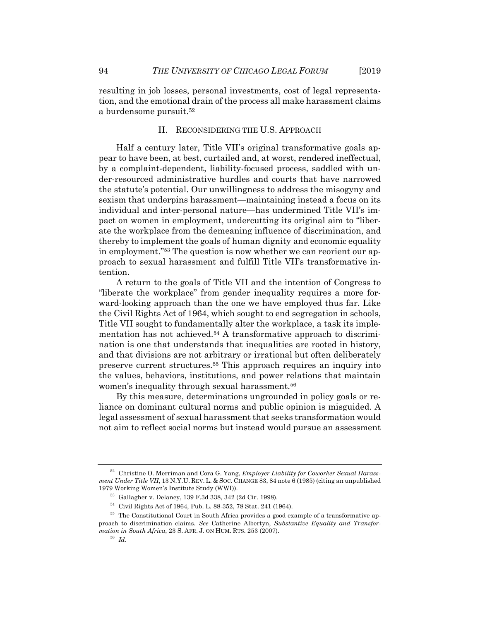resulting in job losses, personal investments, cost of legal representation, and the emotional drain of the process all make harassment claims a burdensome pursuit.<sup>52</sup>

# II. RECONSIDERING THE U.S. APPROACH

Half a century later, Title VII's original transformative goals appear to have been, at best, curtailed and, at worst, rendered ineffectual, by a complaint-dependent, liability-focused process, saddled with under-resourced administrative hurdles and courts that have narrowed the statute's potential. Our unwillingness to address the misogyny and sexism that underpins harassment—maintaining instead a focus on its individual and inter-personal nature—has undermined Title VII's impact on women in employment, undercutting its original aim to "liberate the workplace from the demeaning influence of discrimination, and thereby to implement the goals of human dignity and economic equality in employment."53 The question is now whether we can reorient our approach to sexual harassment and fulfill Title VII's transformative intention.

A return to the goals of Title VII and the intention of Congress to "liberate the workplace" from gender inequality requires a more forward-looking approach than the one we have employed thus far. Like the Civil Rights Act of 1964, which sought to end segregation in schools, Title VII sought to fundamentally alter the workplace, a task its implementation has not achieved.<sup>54</sup> A transformative approach to discrimination is one that understands that inequalities are rooted in history, and that divisions are not arbitrary or irrational but often deliberately preserve current structures.55 This approach requires an inquiry into the values, behaviors, institutions, and power relations that maintain women's inequality through sexual harassment.<sup>56</sup>

By this measure, determinations ungrounded in policy goals or reliance on dominant cultural norms and public opinion is misguided. A legal assessment of sexual harassment that seeks transformation would not aim to reflect social norms but instead would pursue an assessment

<sup>52</sup> Christine O. Merriman and Cora G. Yang, *Employer Liability for Coworker Sexual Harassment Under Title VII*, 13 N.Y.U. REV. L. & SOC. CHANGE 83, 84 note 6 (1985) (citing an unpublished 1979 Working Women's Institute Study (WWI)). 53 Gallagher v. Delaney, 139 F.3d 338, 342 (2d Cir. 1998).

<sup>54</sup> Civil Rights Act of 1964, Pub. L. 88-352, 78 Stat. 241 (1964).

<sup>&</sup>lt;sup>55</sup> The Constitutional Court in South Africa provides a good example of a transformative approach to discrimination claims. *See* Catherine Albertyn, *Substantive Equality and Transformation in South Africa*, 23 S. AFR. J. ON HUM. RTS. 253 (2007). 56 *Id.*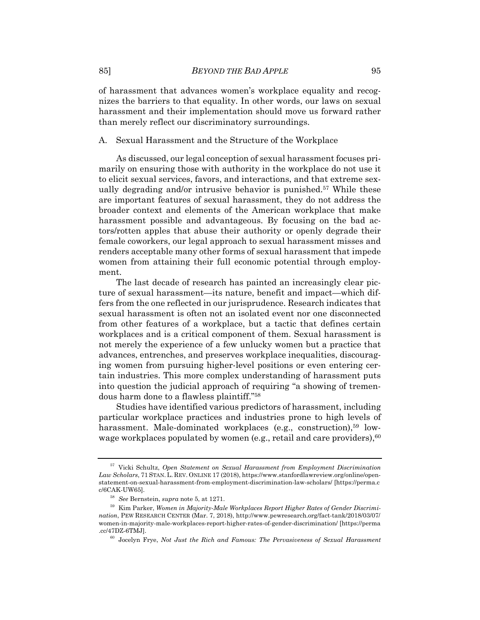of harassment that advances women's workplace equality and recognizes the barriers to that equality. In other words, our laws on sexual harassment and their implementation should move us forward rather than merely reflect our discriminatory surroundings.

#### A. Sexual Harassment and the Structure of the Workplace

As discussed, our legal conception of sexual harassment focuses primarily on ensuring those with authority in the workplace do not use it to elicit sexual services, favors, and interactions, and that extreme sexually degrading and/or intrusive behavior is punished.<sup>57</sup> While these are important features of sexual harassment, they do not address the broader context and elements of the American workplace that make harassment possible and advantageous. By focusing on the bad actors/rotten apples that abuse their authority or openly degrade their female coworkers, our legal approach to sexual harassment misses and renders acceptable many other forms of sexual harassment that impede women from attaining their full economic potential through employment.

The last decade of research has painted an increasingly clear picture of sexual harassment—its nature, benefit and impact—which differs from the one reflected in our jurisprudence. Research indicates that sexual harassment is often not an isolated event nor one disconnected from other features of a workplace, but a tactic that defines certain workplaces and is a critical component of them. Sexual harassment is not merely the experience of a few unlucky women but a practice that advances, entrenches, and preserves workplace inequalities, discouraging women from pursuing higher-level positions or even entering certain industries. This more complex understanding of harassment puts into question the judicial approach of requiring "a showing of tremendous harm done to a flawless plaintiff."58

Studies have identified various predictors of harassment, including particular workplace practices and industries prone to high levels of harassment. Male-dominated workplaces (e.g., construction),<sup>59</sup> lowwage workplaces populated by women (e.g., retail and care providers),  $60$ 

<sup>57</sup> Vicki Schultz, *Open Statement on Sexual Harassment from Employment Discrimination Law Scholars*, 71 STAN. L. REV. ONLINE 17 (2018), https://www.stanfordlawreview.org/online/openstatement-on-sexual-harassment-from-employment-discrimination-law-scholars/ [https://perma.c c/6CAK-UW65]. 58 *See* Bernstein, *supra* note 5, at 1271. 59 Kim Parker, *Women in Majority-Male Workplaces Report Higher Rates of Gender Discrimi-*

*nation*, PEW RESEARCH CENTER (Mar. 7, 2018), http://www.pewresearch.org/fact-tank/2018/03/07/ women-in-majority-male-workplaces-report-higher-rates-of-gender-discrimination/ [https://perma .cc/47DZ-6TMJ]. 60 Jocelyn Frye, *Not Just the Rich and Famous: The Pervasiveness of Sexual Harassment*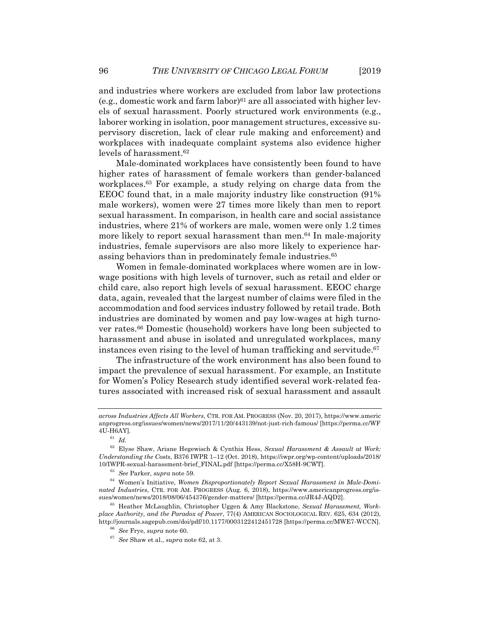and industries where workers are excluded from labor law protections (e.g., domestic work and farm labor) $61$  are all associated with higher levels of sexual harassment. Poorly structured work environments (e.g., laborer working in isolation, poor management structures, excessive supervisory discretion, lack of clear rule making and enforcement) and workplaces with inadequate complaint systems also evidence higher levels of harassment.62

Male-dominated workplaces have consistently been found to have higher rates of harassment of female workers than gender-balanced workplaces.63 For example, a study relying on charge data from the EEOC found that, in a male majority industry like construction (91% male workers), women were 27 times more likely than men to report sexual harassment. In comparison, in health care and social assistance industries, where 21% of workers are male, women were only 1.2 times more likely to report sexual harassment than men.<sup>64</sup> In male-majority industries, female supervisors are also more likely to experience harassing behaviors than in predominately female industries.65

Women in female-dominated workplaces where women are in lowwage positions with high levels of turnover, such as retail and elder or child care, also report high levels of sexual harassment. EEOC charge data, again, revealed that the largest number of claims were filed in the accommodation and food services industry followed by retail trade. Both industries are dominated by women and pay low-wages at high turnover rates.66 Domestic (household) workers have long been subjected to harassment and abuse in isolated and unregulated workplaces, many instances even rising to the level of human trafficking and servitude.<sup>67</sup>

The infrastructure of the work environment has also been found to impact the prevalence of sexual harassment. For example, an Institute for Women's Policy Research study identified several work-related features associated with increased risk of sexual harassment and assault

*across Industries Affects All Workers*, CTR. FOR AM. PROGRESS (Nov. 20, 2017), https://www.americ anprogress.org/issues/women/news/2017/11/20/443139/not-just-rich-famous/ [https://perma.cc/WF  $4U-H6AY$ ].<br><sup>61</sup> *Id.* 

<sup>62</sup> Elyse Shaw, Ariane Hegewisch & Cynthia Hess, *Sexual Harassment & Assault at Work: Understanding the Costs*, B376 IWPR 1–12 (Oct. 2018), https://iwpr.org/wp-content/uploads/2018/

<sup>&</sup>lt;sup>63</sup> See Parker, *supra* note 59.<br><sup>64</sup> Women's Initiative, *Women Disproportionately Report Sexual Harassment in Male-Dominated Industries*, CTR. FOR AM. PROGRESS (Aug. 6, 2018), https://www.americanprogress.org/is-

<sup>&</sup>lt;sup>65</sup> Heather McLaughlin, Christopher Uggen & Amy Blackstone, *Sexual Harassment, Workplace Authority, and the Paradox of Power*, 77(4) AMERICAN SOCIOLOGICAL REV. 625, 634 (2012), http://journals.sagepub.com/doi/pdf/10.1177/0003122412451728 [https://perma.cc/MWE7-WCCN]. 66 *See* Frye, *supra* note 60. 67 *See* Shaw et al., *supra* note 62, at 3.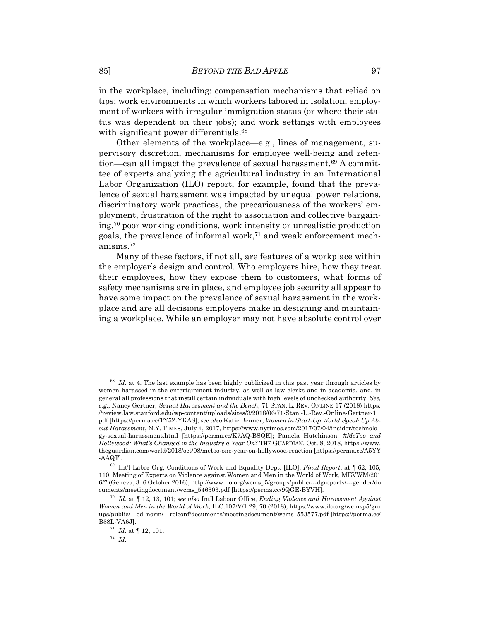in the workplace, including: compensation mechanisms that relied on tips; work environments in which workers labored in isolation; employment of workers with irregular immigration status (or where their status was dependent on their jobs); and work settings with employees with significant power differentials.<sup>68</sup>

Other elements of the workplace—e.g., lines of management, supervisory discretion, mechanisms for employee well-being and retention—can all impact the prevalence of sexual harassment.69 A committee of experts analyzing the agricultural industry in an International Labor Organization (ILO) report, for example, found that the prevalence of sexual harassment was impacted by unequal power relations, discriminatory work practices, the precariousness of the workers' employment, frustration of the right to association and collective bargaining,70 poor working conditions, work intensity or unrealistic production goals, the prevalence of informal work,71 and weak enforcement mechanisms.72

Many of these factors, if not all, are features of a workplace within the employer's design and control. Who employers hire, how they treat their employees, how they expose them to customers, what forms of safety mechanisms are in place, and employee job security all appear to have some impact on the prevalence of sexual harassment in the workplace and are all decisions employers make in designing and maintaining a workplace. While an employer may not have absolute control over

 $68$  *Id.* at 4. The last example has been highly publicized in this past year through articles by women harassed in the entertainment industry, as well as law clerks and in academia, and, in general all professions that instill certain individuals with high levels of unchecked authority. *See, e.g.*, Nancy Gertner, *Sexual Harassment and the Bench*, 71 STAN. L. REV. ONLINE 17 (2018) https: //review.law.stanford.edu/wp-content/uploads/sites/3/2018/06/71-Stan.-L.-Rev.-Online-Gertner-1. pdf [https://perma.cc/TY5Z-YKAS]; *see also* Katie Benner, *Women in Start-Up World Speak Up About Harassment*, N.Y. TIMES, July 4, 2017, https://www.nytimes.com/2017/07/04/insider/technolo gy-sexual-harassment.html [https://perma.cc/K7AQ-BSQK]; Pamela Hutchinson, *#MeToo and Hollywood: What's Changed in the Industry a Year On?* THE GUARDIAN, Oct. 8, 2018, https://www. theguardian.com/world/2018/oct/08/metoo-one-year-on-hollywood-reaction [https://perma.cc/A5YY

<sup>-</sup>AAQT]. 69 Int'l Labor Org, Conditions of Work and Equality Dept. [ILO], *Final Report*, at ¶ 62, 105, 110, Meeting of Experts on Violence against Women and Men in the World of Work, MEVWM/201 6/7 (Geneva, 3–6 October 2016), http://www.ilo.org/wcmsp5/groups/public/---dgreports/---gender/do

<sup>&</sup>lt;sup>70</sup> Id. at ¶ 12, 13, 101; *see also* Int'l Labour Office, *Ending Violence and Harassment Against Women and Men in the World of Work*, ILC.107/V/1 29, 70 (2018), https://www.ilo.org/wcmsp5/gro ups/public/---ed\_norm/---relconf/documents/meetingdocument/wcms\_553577.pdf [https://perma.cc/

 $\begin{array}{cc} 71 & Id. \text{ at } \P{12, 101}. \\ 72 & Id. \end{array}$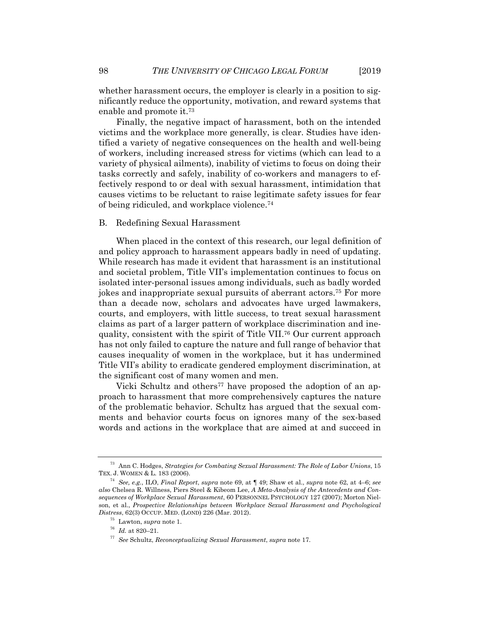whether harassment occurs, the employer is clearly in a position to significantly reduce the opportunity, motivation, and reward systems that enable and promote it.73

Finally, the negative impact of harassment, both on the intended victims and the workplace more generally, is clear. Studies have identified a variety of negative consequences on the health and well-being of workers, including increased stress for victims (which can lead to a variety of physical ailments), inability of victims to focus on doing their tasks correctly and safely, inability of co-workers and managers to effectively respond to or deal with sexual harassment, intimidation that causes victims to be reluctant to raise legitimate safety issues for fear of being ridiculed, and workplace violence.74

#### B. Redefining Sexual Harassment

When placed in the context of this research, our legal definition of and policy approach to harassment appears badly in need of updating. While research has made it evident that harassment is an institutional and societal problem, Title VII's implementation continues to focus on isolated inter-personal issues among individuals, such as badly worded jokes and inappropriate sexual pursuits of aberrant actors.75 For more than a decade now, scholars and advocates have urged lawmakers, courts, and employers, with little success, to treat sexual harassment claims as part of a larger pattern of workplace discrimination and inequality, consistent with the spirit of Title VII.76 Our current approach has not only failed to capture the nature and full range of behavior that causes inequality of women in the workplace, but it has undermined Title VII's ability to eradicate gendered employment discrimination, at the significant cost of many women and men.

Vicki Schultz and others<sup>77</sup> have proposed the adoption of an approach to harassment that more comprehensively captures the nature of the problematic behavior. Schultz has argued that the sexual comments and behavior courts focus on ignores many of the sex-based words and actions in the workplace that are aimed at and succeed in

<sup>73</sup> Ann C. Hodges, *Strategies for Combating Sexual Harassment: The Role of Labor Unions*, 15 TEX. J. WOMEN & L. 183 (2006). 74 *See, e.g.*, ILO, *Final Report*, *supra* note 69, at ¶ 49; Shaw et al., *supra* note 62, at 4–6; *see*

*also* Chelsea R. Willness, Piers Steel & Kibeom Lee, *A Meta-Analysis of the Antecedents and Consequences of Workplace Sexual Harassment*, 60 PERSONNEL PSYCHOLOGY 127 (2007); Morton Nielson, et al., *Prospective Relationships between Workplace Sexual Harassment and Psychological Distress*, 62(3) OCCUP. MED. (LOND) 226 (Mar. 2012). 75 Lawton, *supra* note 1. 76 *Id.* at 820–21. 77 *See* Schultz, *Reconceptualizing Sexual Harassment*, *supra* note 17.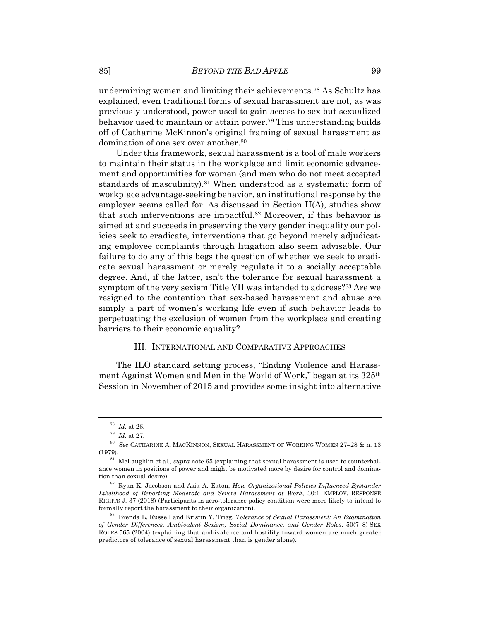undermining women and limiting their achievements.78 As Schultz has explained, even traditional forms of sexual harassment are not, as was previously understood, power used to gain access to sex but sexualized behavior used to maintain or attain power.79 This understanding builds off of Catharine McKinnon's original framing of sexual harassment as domination of one sex over another.<sup>80</sup>

Under this framework, sexual harassment is a tool of male workers to maintain their status in the workplace and limit economic advancement and opportunities for women (and men who do not meet accepted standards of masculinity).<sup>81</sup> When understood as a systematic form of workplace advantage-seeking behavior, an institutional response by the employer seems called for. As discussed in Section II(A), studies show that such interventions are impactful.82 Moreover, if this behavior is aimed at and succeeds in preserving the very gender inequality our policies seek to eradicate, interventions that go beyond merely adjudicating employee complaints through litigation also seem advisable. Our failure to do any of this begs the question of whether we seek to eradicate sexual harassment or merely regulate it to a socially acceptable degree. And, if the latter, isn't the tolerance for sexual harassment a symptom of the very sexism Title VII was intended to address?<sup>83</sup> Are we resigned to the contention that sex-based harassment and abuse are simply a part of women's working life even if such behavior leads to perpetuating the exclusion of women from the workplace and creating barriers to their economic equality?

### III. INTERNATIONAL AND COMPARATIVE APPROACHES

The ILO standard setting process, "Ending Violence and Harassment Against Women and Men in the World of Work," began at its 325th Session in November of 2015 and provides some insight into alternative

<sup>78</sup> *Id.* at 26. 79 *Id.* at 27. 80 *See* CATHARINE A. MACKINNON, SEXUAL HARASSMENT OF WORKING WOMEN 27–28 & n. 13 (1979). 81 McLaughlin et al., *supra* note 65 (explaining that sexual harassment is used to counterbal-

ance women in positions of power and might be motivated more by desire for control and domina-

 $182$  Ryan K. Jacobson and Asia A. Eaton, *How Organizational Policies Influenced Bystander Likelihood of Reporting Moderate and Severe Harassment at Work*, 30:1 EMPLOY. RESPONSE RIGHTS J. 37 (2018) (Participants in zero-tolerance policy condition were more likely to intend to

formally report the harassment to their organization). 83 Brenda L. Russell and Kristin Y. Trigg, *Tolerance of Sexual Harassment: An Examination of Gender Differences, Ambivalent Sexism, Social Dominance, and Gender Roles*, 50(7–8) SEX ROLES 565 (2004) (explaining that ambivalence and hostility toward women are much greater predictors of tolerance of sexual harassment than is gender alone).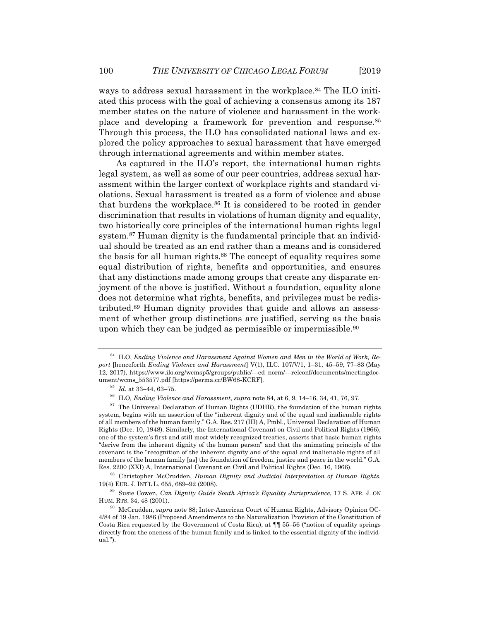ways to address sexual harassment in the workplace.<sup>84</sup> The ILO initiated this process with the goal of achieving a consensus among its 187 member states on the nature of violence and harassment in the workplace and developing a framework for prevention and response.85 Through this process, the ILO has consolidated national laws and explored the policy approaches to sexual harassment that have emerged through international agreements and within member states.

As captured in the ILO's report, the international human rights legal system, as well as some of our peer countries, address sexual harassment within the larger context of workplace rights and standard violations. Sexual harassment is treated as a form of violence and abuse that burdens the workplace.86 It is considered to be rooted in gender discrimination that results in violations of human dignity and equality, two historically core principles of the international human rights legal system.<sup>87</sup> Human dignity is the fundamental principle that an individual should be treated as an end rather than a means and is considered the basis for all human rights.<sup>88</sup> The concept of equality requires some equal distribution of rights, benefits and opportunities, and ensures that any distinctions made among groups that create any disparate enjoyment of the above is justified. Without a foundation, equality alone does not determine what rights, benefits, and privileges must be redistributed.89 Human dignity provides that guide and allows an assessment of whether group distinctions are justified, serving as the basis upon which they can be judged as permissible or impermissible.<sup>90</sup>

<sup>84</sup> ILO, *Ending Violence and Harassment Against Women and Men in the World of Work, Report* [henceforth *Ending Violence and Harassment*] V(1), ILC. 107/V/1, 1–31, 45–59, 77–83 (May 12, 2017), https://www.ilo.org/wcmsp5/groups/public/---ed\_norm/---relconf/documents/meetingdocument/wcms\_553577.pdf [https://perma.cc/BW68-KCRF].<br><sup>85</sup> Id. at 33–44, 63–75.<br><sup>86</sup> ILO, *Ending Violence and Harassment, supra* note 84, at 6, 9, 14–16, 34, 41, 76, 97.<br><sup>87</sup> The Universal Declaration of Human Rights (UDHR)

system, begins with an assertion of the "inherent dignity and of the equal and inalienable rights of all members of the human family." G.A. Res. 217 (III) A, Pmbl., Universal Declaration of Human Rights (Dec. 10, 1948). Similarly, the International Covenant on Civil and Political Rights (1966), one of the system's first and still most widely recognized treaties, asserts that basic human rights "derive from the inherent dignity of the human person" and that the animating principle of the covenant is the "recognition of the inherent dignity and of the equal and inalienable rights of all members of the human family [as] the foundation of freedom, justice and peace in the world." G.A.

Res. 2200 (XXI) A, International Covenant on Civil and Political Rights (Dec. 16, 1966).<br><sup>88</sup> Christopher McCrudden, *Human Dignity and Judicial Interpretation of Human Rights*.<br>19(4) EUR. J. INT'L L. 655, 689–92 (2008).

<sup>&</sup>lt;sup>89</sup> Susie Cowen, *Can Dignity Guide South Africa's Equality Jurisprudence*, 17 S. AFR. J. ON HUM. RTS. 34, 48 (2001).

<sup>&</sup>lt;sup>90</sup> McCrudden, *supra* note 88; Inter-American Court of Human Rights, Advisory Opinion OC-4/84 of 19 Jan. 1986 (Proposed Amendments to the Naturalization Provision of the Constitution of Costa Rica requested by the Government of Costa Rica), at ¶¶ 55–56 ("notion of equality springs directly from the oneness of the human family and is linked to the essential dignity of the individual.").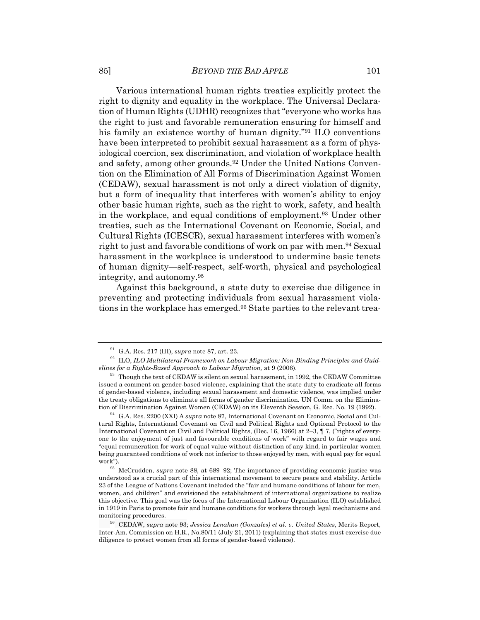Various international human rights treaties explicitly protect the right to dignity and equality in the workplace. The Universal Declaration of Human Rights (UDHR) recognizes that "everyone who works has the right to just and favorable remuneration ensuring for himself and his family an existence worthy of human dignity."91 ILO conventions have been interpreted to prohibit sexual harassment as a form of physiological coercion, sex discrimination, and violation of workplace health and safety, among other grounds.<sup>92</sup> Under the United Nations Convention on the Elimination of All Forms of Discrimination Against Women (CEDAW), sexual harassment is not only a direct violation of dignity, but a form of inequality that interferes with women's ability to enjoy other basic human rights, such as the right to work, safety, and health in the workplace, and equal conditions of employment.93 Under other treaties, such as the International Covenant on Economic, Social, and Cultural Rights (ICESCR), sexual harassment interferes with women's right to just and favorable conditions of work on par with men.94 Sexual harassment in the workplace is understood to undermine basic tenets of human dignity—self-respect, self-worth, physical and psychological integrity, and autonomy.95

Against this background, a state duty to exercise due diligence in preventing and protecting individuals from sexual harassment violations in the workplace has emerged.96 State parties to the relevant trea-

<sup>&</sup>lt;sup>91</sup> G.A. Res. 217 (III), *supra* note 87, art. 23.<br><sup>92</sup> ILO, *ILO Multilateral Framework on Labour Migration: Non-Binding Principles and Guidelines for a Rights-Based Approach to Labour Migration*, at 9 (2006).<br><sup>93</sup> Though the text of CEDAW is silent on sexual harassment, in 1992, the CEDAW Committee

issued a comment on gender-based violence, explaining that the state duty to eradicate all forms of gender-based violence, including sexual harassment and domestic violence, was implied under the treaty obligations to eliminate all forms of gender discrimination. UN Comm. on the Elimination of Discrimination Against Women (CEDAW) on its Eleventh Session, G. Rec. No. 19 (1992). 94 G.A. Res. 2200 (XXI) A *supra* note 87, International Covenant on Economic, Social and Cul-

tural Rights, International Covenant on Civil and Political Rights and Optional Protocol to the International Covenant on Civil and Political Rights, (Dec. 16, 1966) at 2–3, ¶ 7, ("rights of everyone to the enjoyment of just and favourable conditions of work" with regard to fair wages and "equal remuneration for work of equal value without distinction of any kind, in particular women being guaranteed conditions of work not inferior to those enjoyed by men, with equal pay for equal work"). 95 McCrudden, *supra* note 88, at 689–92; The importance of providing economic justice was

understood as a crucial part of this international movement to secure peace and stability. Article 23 of the League of Nations Covenant included the "fair and humane conditions of labour for men, women, and children" and envisioned the establishment of international organizations to realize this objective. This goal was the focus of the International Labour Organization (ILO) established in 1919 in Paris to promote fair and humane conditions for workers through legal mechanisms and monitoring procedures. 96 CEDAW, *supra* note 93; *Jessica Lenahan (Gonzales) et al. v. United States*, Merits Report,

Inter-Am. Commission on H.R., No.80/11 (July 21, 2011) (explaining that states must exercise due diligence to protect women from all forms of gender-based violence).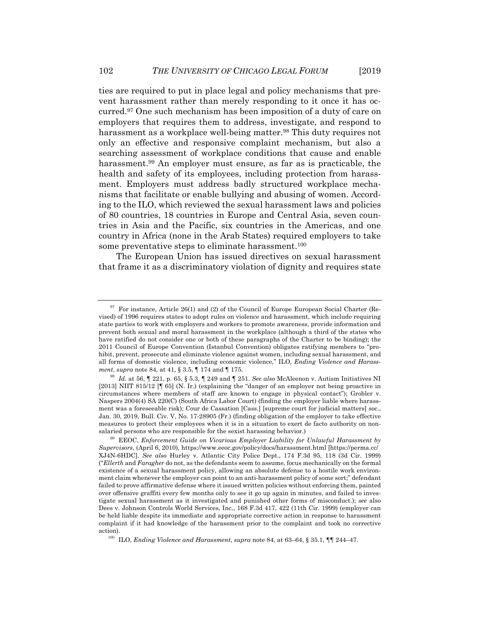ties are required to put in place legal and policy mechanisms that prevent harassment rather than merely responding to it once it has occurred.97 One such mechanism has been imposition of a duty of care on employers that requires them to address, investigate, and respond to harassment as a workplace well-being matter.<sup>98</sup> This duty requires not only an effective and responsive complaint mechanism, but also a searching assessment of workplace conditions that cause and enable harassment.<sup>99</sup> An employer must ensure, as far as is practicable, the health and safety of its employees, including protection from harassment. Employers must address badly structured workplace mechanisms that facilitate or enable bullying and abusing of women. According to the ILO, which reviewed the sexual harassment laws and policies of 80 countries, 18 countries in Europe and Central Asia, seven countries in Asia and the Pacific, six countries in the Americas, and one country in Africa (none in the Arab States) required employers to take some preventative steps to eliminate harassment.<sup>100</sup>

The European Union has issued directives on sexual harassment that frame it as a discriminatory violation of dignity and requires state

 $97$  For instance, Article 26(1) and (2) of the Council of Europe European Social Charter (Revised) of 1996 requires states to adopt rules on violence and harassment, which include requiring state parties to work with employers and workers to promote awareness, provide information and prevent both sexual and moral harassment in the workplace (although a third of the states who have ratified do not consider one or both of these paragraphs of the Charter to be binding); the 2011 Council of Europe Convention (Istanbul Convention) obligates ratifying members to "prohibit, prevent, prosecute and eliminate violence against women, including sexual harassment, and all forms of domestic violence, including economic violence," ILO*, Ending Violence and Harassment*, *supra* note 84, at 41, § 3.5, ¶ 174 and ¶ 175. 98 *Id.* at 56, ¶ 221, p. 65, § 5.3, ¶ 249 and ¶ 251. *See also* McAleenon v. Autism Initiatives NI

<sup>[2013]</sup> NIIT 815/12 [ $\parallel$  65] (N. Ir.) (explaining the "danger of an employer not being proactive in circumstances where members of staff are known to engage in physical contact"); Grobler v. Naspers 2004(4) SA 220(C) (South Africa Labor Court) (finding the employer liable where harassment was a foreseeable risk); Cour de Cassation [Cass.] [supreme court for judicial matters] soc., Jan. 30, 2019, Bull. Civ. V, No. 17-28905 (Fr.) (finding obligation of the employer to take effective measures to protect their employees when it is in a situation to exert de facto authority on nonsalaried persons who are responsible for the sexist harassing behavior.) 99 EEOC, *Enforcement Guide on Vicarious Employer Liability for Unlawful Harassment by* 

*Supervisors*, (April 6, 2010), https://www.eeoc.gov/policy/docs/harassment.html [https://perma.cc/ XJ4N-6HDC]. *See also* Hurley v. Atlantic City Police Dept., 174 F.3d 95, 118 (3d Cir. 1999) ("*Ellerth* and *Faragher* do not, as the defendants seem to assume, focus mechanically on the formal existence of a sexual harassment policy, allowing an absolute defense to a hostile work environment claim whenever the employer can point to an anti-harassment policy of some sort;" defendant failed to prove affirmative defense where it issued written policies without enforcing them, painted over offensive graffiti every few months only to see it go up again in minutes, and failed to investigate sexual harassment as it investigated and punished other forms of misconduct.); *see* also Dees v. Johnson Controls World Services, Inc., 168 F.3d 417, 422 (11th Cir. 1999) (employer can be held liable despite its immediate and appropriate corrective action in response to harassment complaint if it had knowledge of the harassment prior to the complaint and took no corrective action). 100 ILO, *Ending Violence and Harassment*, *supra* note 84, at 63–64, § 35.1, ¶¶ 244–47.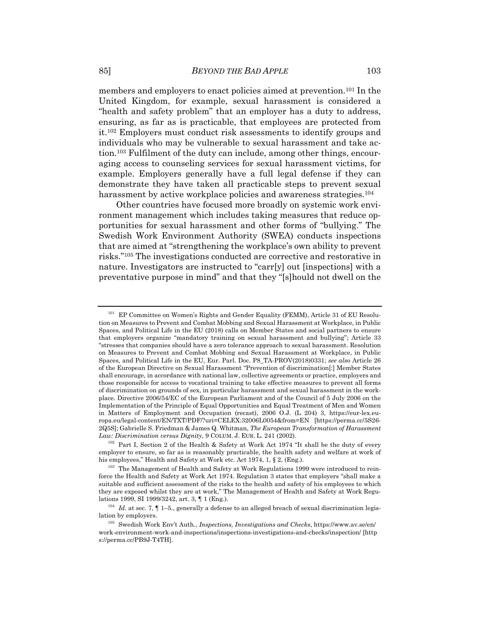members and employers to enact policies aimed at prevention.101 In the United Kingdom, for example, sexual harassment is considered a "health and safety problem" that an employer has a duty to address, ensuring, as far as is practicable, that employees are protected from it.102 Employers must conduct risk assessments to identify groups and individuals who may be vulnerable to sexual harassment and take action.103 Fulfilment of the duty can include, among other things, encouraging access to counseling services for sexual harassment victims, for example. Employers generally have a full legal defense if they can demonstrate they have taken all practicable steps to prevent sexual harassment by active workplace policies and awareness strategies.<sup>104</sup>

Other countries have focused more broadly on systemic work environment management which includes taking measures that reduce opportunities for sexual harassment and other forms of "bullying." The Swedish Work Environment Authority (SWEA) conducts inspections that are aimed at "strengthening the workplace's own ability to prevent risks."105 The investigations conducted are corrective and restorative in nature. Investigators are instructed to "carr[y] out [inspections] with a preventative purpose in mind" and that they "[s]hould not dwell on the

<sup>101</sup> EP Committee on Women's Rights and Gender Equality (FEMM), Article 31 of EU Resolution on Measures to Prevent and Combat Mobbing and Sexual Harassment at Workplace, in Public Spaces, and Political Life in the EU (2018) calls on Member States and social partners to ensure that employers organize "mandatory training on sexual harassment and bullying"; Article 33 "stresses that companies should have a zero tolerance approach to sexual harassment. Resolution on Measures to Prevent and Combat Mobbing and Sexual Harassment at Workplace, in Public Spaces, and Political Life in the EU, Eur. Parl. Doc. P8\_TA-PROV(2018)0331; *see also* Article 26 of the European Directive on Sexual Harassment "Prevention of discrimination[:] Member States shall encourage, in accordance with national law, collective agreements or practice, employers and those responsible for access to vocational training to take effective measures to prevent all forms of discrimination on grounds of sex, in particular harassment and sexual harassment in the workplace. Directive 2006/54/EC of the European Parliament and of the Council of 5 July 2006 on the Implementation of the Principle of Equal Opportunities and Equal Treatment of Men and Women in Matters of Employment and Occupation (recast), 2006 O.J. (L 204) 3, https://eur-lex.europa.eu/legal-content/EN/TXT/PDF/?uri=CELEX:32006L0054&from=EN [https://perma.cc/5S26- 2Q5S]; Gabrielle S. Friedman & James Q. Whitman, *The European Transformation of Harassment Law: Discrimination versus Dignity*, 9 COLUM. J. EUR. L. 241 (2002).<br><sup>102</sup> Part I, Section 2 of the Health & Safety at Work Act 1974 "It shall be the duty of every

employer to ensure, so far as is reasonably practicable, the health safety and welfare at work of his employees," Health and Safety at Work etc. Act 1974, 1, § 2, (Eng.).<br><sup>103</sup> The Management of Health and Safety at Work Regulations 1999 were introduced to rein-

force the Health and Safety at Work Act 1974. Regulation 3 states that employers "shall make a suitable and sufficient assessment of the risks to the health and safety of his employees to which they are exposed whilst they are at work," The Management of Health and Safety at Work Regu-

lations 1999, SI 1999/3242, art. 3, ¶ 1 (Eng.).<br><sup>104</sup> *Id.* at sec. 7, ¶ 1–5., generally a defense to an alleged breach of sexual discrimination legis-<br>lation by employers.

 $^{105}\,$  Swedish Work Env't Auth., *Inspections, Investigations and Checks*, https://www.av.se/en/ work-environment-work-and-inspections/inspections-investigations-and-checks/inspection/ [http s://perma.cc/PB9J-T4TH].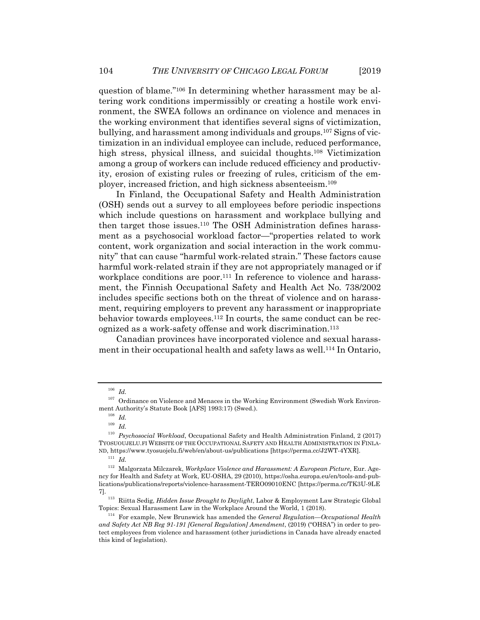question of blame."106 In determining whether harassment may be altering work conditions impermissibly or creating a hostile work environment, the SWEA follows an ordinance on violence and menaces in the working environment that identifies several signs of victimization, bullying, and harassment among individuals and groups.107 Signs of victimization in an individual employee can include, reduced performance, high stress, physical illness, and suicidal thoughts.108 Victimization among a group of workers can include reduced efficiency and productivity, erosion of existing rules or freezing of rules, criticism of the employer, increased friction, and high sickness absenteeism.109

In Finland, the Occupational Safety and Health Administration (OSH) sends out a survey to all employees before periodic inspections which include questions on harassment and workplace bullying and then target those issues.110 The OSH Administration defines harassment as a psychosocial workload factor—"properties related to work content, work organization and social interaction in the work community" that can cause "harmful work-related strain." These factors cause harmful work-related strain if they are not appropriately managed or if workplace conditions are poor.<sup>111</sup> In reference to violence and harassment, the Finnish Occupational Safety and Health Act No. 738/2002 includes specific sections both on the threat of violence and on harassment, requiring employers to prevent any harassment or inappropriate behavior towards employees.<sup>112</sup> In courts, the same conduct can be recognized as a work-safety offense and work discrimination.113

Canadian provinces have incorporated violence and sexual harassment in their occupational health and safety laws as well.<sup>114</sup> In Ontario,

<sup>106</sup> *Id.*

<sup>&</sup>lt;sup>107</sup> Ordinance on Violence and Menaces in the Working Environment (Swedish Work Environment Authority's Statute Book [AFS] 1993:17) (Swed.). 108 *Id.*

 $\frac{109}{110}$  *Id.* 

<sup>110</sup> *Psychosocial Workload*, Occupational Safety and Health Administration Finland, 2 (2017) TYOSUOUJELU.FI WEBSITE OF THE OCCUPATIONAL SAFETY AND HEALTH ADMINISTRATION IN FINLA-ND, https://www.tyosuojelu.fi/web/en/about-us/publications [https://perma.cc/J2WT-4YXR]. 111 *Id.*

<sup>112</sup> Malgorzata Milczarek, *Workplace Violence and Harassment: A European Picture*, Eur. Agency for Health and Safety at Work, EU-OSHA, 29 (2010), https://osha.europa.eu/en/tools-and-publications/publications/reports/violence-harassment-TERO09010ENC [https://perma.cc/TK3U-9LE

<sup>7]. 113</sup> Riitta Sedig, *Hidden Issue Brought to Daylight*, Labor & Employment Law Strategic Global

<sup>&</sup>lt;sup>114</sup> For example, New Brunswick has amended the *General Regulation—Occupational Health and Safety Act NB Reg 91-191 [General Regulation] Amendment*, (2019) ("OHSA") in order to protect employees from violence and harassment (other jurisdictions in Canada have already enacted this kind of legislation).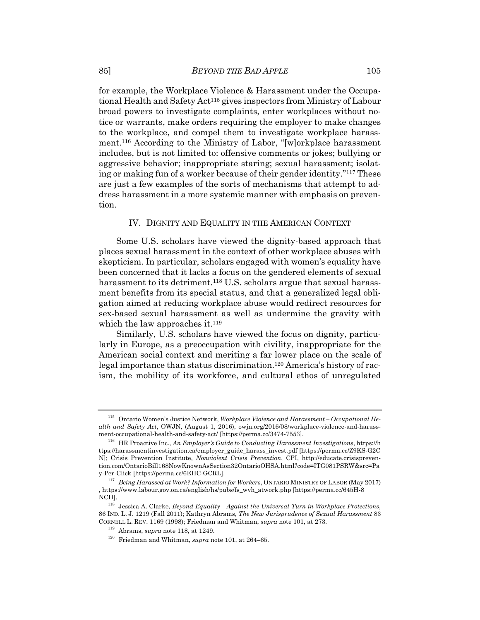for example, the Workplace Violence & Harassment under the Occupational Health and Safety Act115 gives inspectors from Ministry of Labour broad powers to investigate complaints, enter workplaces without notice or warrants, make orders requiring the employer to make changes to the workplace, and compel them to investigate workplace harassment.116 According to the Ministry of Labor, "[w]orkplace harassment includes, but is not limited to: offensive comments or jokes; bullying or aggressive behavior; inappropriate staring; sexual harassment; isolating or making fun of a worker because of their gender identity."117 These are just a few examples of the sorts of mechanisms that attempt to address harassment in a more systemic manner with emphasis on prevention.

#### IV. DIGNITY AND EQUALITY IN THE AMERICAN CONTEXT

Some U.S. scholars have viewed the dignity-based approach that places sexual harassment in the context of other workplace abuses with skepticism. In particular, scholars engaged with women's equality have been concerned that it lacks a focus on the gendered elements of sexual harassment to its detriment.<sup>118</sup> U.S. scholars argue that sexual harassment benefits from its special status, and that a generalized legal obligation aimed at reducing workplace abuse would redirect resources for sex-based sexual harassment as well as undermine the gravity with which the law approaches it. $119$ 

Similarly, U.S. scholars have viewed the focus on dignity, particularly in Europe, as a preoccupation with civility, inappropriate for the American social context and meriting a far lower place on the scale of legal importance than status discrimination.120 America's history of racism, the mobility of its workforce, and cultural ethos of unregulated

<sup>115</sup> Ontario Women's Justice Network, *Workplace Violence and Harassment – Occupational Health and Safety Act*, OWJN, (August 1, 2016), owjn.org/2016/08/workplace-violence-and-harass-

 $^{116}$  HR Proactive Inc., *An Employer's Guide to Conducting Harassment Investigations*, https://h ttps://harassmentinvestigation.ca/employer\_guide\_harass\_invest.pdf [https://perma.cc/Z9KS-G2C N]; Crisis Prevention Institute, *Nonviolent Crisis Prevention*, CPI, http://educate.crisisprevention.com/OntarioBill168NowKnownAsSection32OntarioOHSA.html?code=ITG081PSRW&src=Pa y-Per-Click [https://perma.cc/6EHC-GCRL]. 117 *Being Harassed at Work? Information for Workers*, ONTARIO MINISTRY OF LABOR (May 2017)

<sup>,</sup> https://www.labour.gov.on.ca/english/hs/pubs/fs\_wvh\_atwork.php [https://perma.cc/645H-8

 $118$  Jessica A. Clarke, *Beyond Equality—Against the Universal Turn in Workplace Protections*, 86 IND. L. J. 1219 (Fall 2011); Kathryn Abrams, *The New Jurisprudence of Sexual Harassment* 83 CORNELL L. REV. 1169 (1998); Friedman and Whitman, *supra* note 101, at 273.<br><sup>119</sup> Abrams, *supra* note 118, at 1249.<br><sup>120</sup> Friedman and Whitman, *supra* note 101, at 264–65.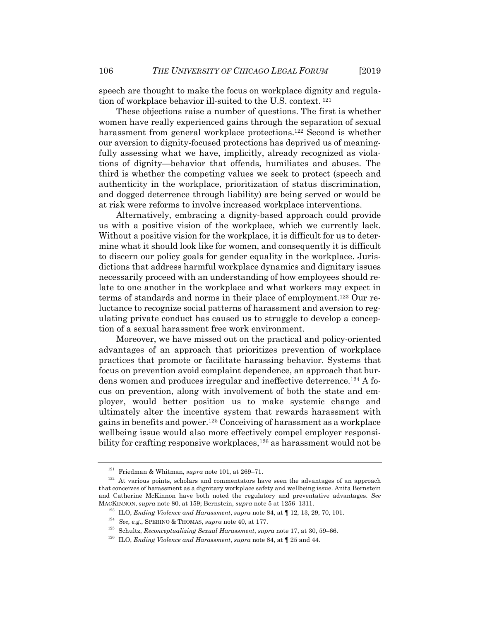speech are thought to make the focus on workplace dignity and regulation of workplace behavior ill-suited to the U.S. context. 121

These objections raise a number of questions. The first is whether women have really experienced gains through the separation of sexual harassment from general workplace protections.<sup>122</sup> Second is whether our aversion to dignity-focused protections has deprived us of meaningfully assessing what we have, implicitly, already recognized as violations of dignity—behavior that offends, humiliates and abuses. The third is whether the competing values we seek to protect (speech and authenticity in the workplace, prioritization of status discrimination, and dogged deterrence through liability) are being served or would be at risk were reforms to involve increased workplace interventions.

Alternatively, embracing a dignity-based approach could provide us with a positive vision of the workplace, which we currently lack. Without a positive vision for the workplace, it is difficult for us to determine what it should look like for women, and consequently it is difficult to discern our policy goals for gender equality in the workplace. Jurisdictions that address harmful workplace dynamics and dignitary issues necessarily proceed with an understanding of how employees should relate to one another in the workplace and what workers may expect in terms of standards and norms in their place of employment.123 Our reluctance to recognize social patterns of harassment and aversion to regulating private conduct has caused us to struggle to develop a conception of a sexual harassment free work environment.

Moreover, we have missed out on the practical and policy-oriented advantages of an approach that prioritizes prevention of workplace practices that promote or facilitate harassing behavior. Systems that focus on prevention avoid complaint dependence, an approach that burdens women and produces irregular and ineffective deterrence.124 A focus on prevention, along with involvement of both the state and employer, would better position us to make systemic change and ultimately alter the incentive system that rewards harassment with gains in benefits and power.125 Conceiving of harassment as a workplace wellbeing issue would also more effectively compel employer responsibility for crafting responsive workplaces,  $126$  as harassment would not be

<sup>&</sup>lt;sup>121</sup> Friedman & Whitman, *supra* note 101, at 269–71.<br><sup>122</sup> At various points, scholars and commentators have seen the advantages of an approach that conceives of harassment as a dignitary workplace safety and wellbeing issue. Anita Bernstein and Catherine McKinnon have both noted the regulatory and preventative advantages. *See* MACKINNON, *supra* note 80, at 159; Bernstein, *supra* note 5 at 1256–1311.<br><sup>123</sup> ILO, *Ending Violence and Harassment*, *supra* note 84, at  $\P$  12, 13, 29, 70, 101.<br><sup>124</sup> *See, e.g.*, SPERINO & THOMAS, *supra* note 40, a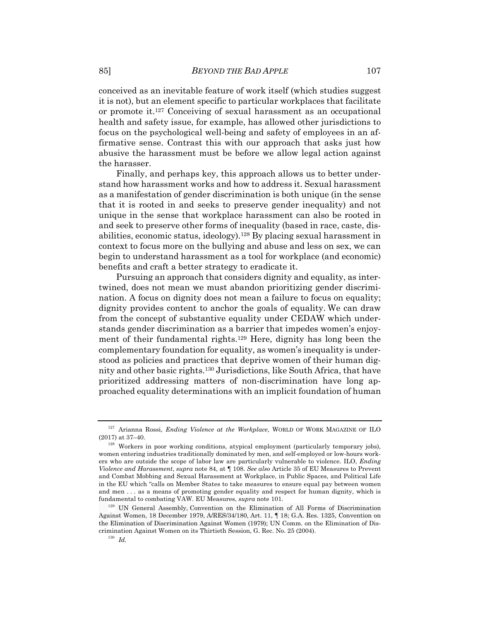conceived as an inevitable feature of work itself (which studies suggest it is not), but an element specific to particular workplaces that facilitate or promote it.127 Conceiving of sexual harassment as an occupational health and safety issue, for example, has allowed other jurisdictions to focus on the psychological well-being and safety of employees in an affirmative sense. Contrast this with our approach that asks just how abusive the harassment must be before we allow legal action against the harasser.

Finally, and perhaps key, this approach allows us to better understand how harassment works and how to address it. Sexual harassment as a manifestation of gender discrimination is both unique (in the sense that it is rooted in and seeks to preserve gender inequality) and not unique in the sense that workplace harassment can also be rooted in and seek to preserve other forms of inequality (based in race, caste, disabilities, economic status, ideology).128 By placing sexual harassment in context to focus more on the bullying and abuse and less on sex, we can begin to understand harassment as a tool for workplace (and economic) benefits and craft a better strategy to eradicate it.

Pursuing an approach that considers dignity and equality, as intertwined, does not mean we must abandon prioritizing gender discrimination. A focus on dignity does not mean a failure to focus on equality; dignity provides content to anchor the goals of equality. We can draw from the concept of substantive equality under CEDAW which understands gender discrimination as a barrier that impedes women's enjoyment of their fundamental rights.129 Here, dignity has long been the complementary foundation for equality, as women's inequality is understood as policies and practices that deprive women of their human dignity and other basic rights.130 Jurisdictions, like South Africa, that have prioritized addressing matters of non-discrimination have long approached equality determinations with an implicit foundation of human

 $^{127}$  Arianna Rossi, *Ending Violence at the Workplace*, WORLD OF WORK MAGAZINE OF ILO (2017) at 37–40.

 $128$  Workers in poor working conditions, atypical employment (particularly temporary jobs), women entering industries traditionally dominated by men, and self-employed or low-hours workers who are outside the scope of labor law are particularly vulnerable to violence. ILO, *Ending Violence and Harassment*, *supra* note 84, at ¶ 108. *See also* Article 35 of EU Measures to Prevent and Combat Mobbing and Sexual Harassment at Workplace, in Public Spaces, and Political Life in the EU which "calls on Member States to take measures to ensure equal pay between women and men . . . as a means of promoting gender equality and respect for human dignity, which is fundamental to combating VAW. EU Measures, *supra* note 101.<br><sup>129</sup> UN General Assembly, Convention on the Elimination of All Forms of Discrimination

Against Women, 18 December 1979, A/RES/34/180, Art. 11, ¶ 18; G.A. Res. 1325, Convention on the Elimination of Discrimination Against Women (1979); UN Comm. on the Elimination of Discrimination Against Women on its Thirtieth Session, G. Rec. No. 25 (2004). 130 *Id.*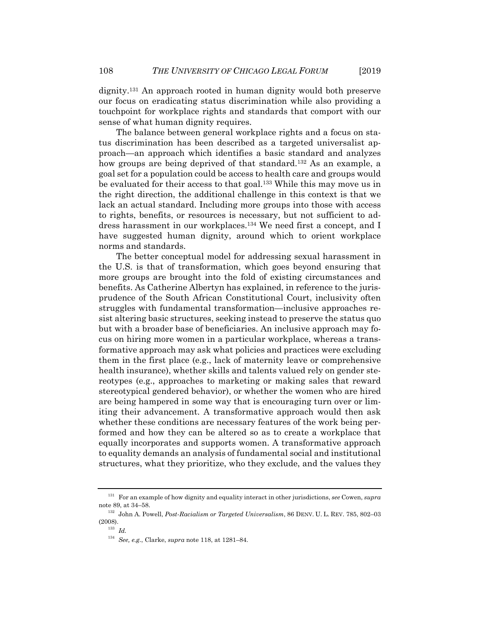dignity.131 An approach rooted in human dignity would both preserve our focus on eradicating status discrimination while also providing a touchpoint for workplace rights and standards that comport with our sense of what human dignity requires.

The balance between general workplace rights and a focus on status discrimination has been described as a targeted universalist approach—an approach which identifies a basic standard and analyzes how groups are being deprived of that standard.<sup>132</sup> As an example, a goal set for a population could be access to health care and groups would be evaluated for their access to that goal.133 While this may move us in the right direction, the additional challenge in this context is that we lack an actual standard. Including more groups into those with access to rights, benefits, or resources is necessary, but not sufficient to address harassment in our workplaces.134 We need first a concept, and I have suggested human dignity, around which to orient workplace norms and standards.

The better conceptual model for addressing sexual harassment in the U.S. is that of transformation, which goes beyond ensuring that more groups are brought into the fold of existing circumstances and benefits. As Catherine Albertyn has explained, in reference to the jurisprudence of the South African Constitutional Court, inclusivity often struggles with fundamental transformation—inclusive approaches resist altering basic structures, seeking instead to preserve the status quo but with a broader base of beneficiaries. An inclusive approach may focus on hiring more women in a particular workplace, whereas a transformative approach may ask what policies and practices were excluding them in the first place (e.g., lack of maternity leave or comprehensive health insurance), whether skills and talents valued rely on gender stereotypes (e.g., approaches to marketing or making sales that reward stereotypical gendered behavior), or whether the women who are hired are being hampered in some way that is encouraging turn over or limiting their advancement. A transformative approach would then ask whether these conditions are necessary features of the work being performed and how they can be altered so as to create a workplace that equally incorporates and supports women. A transformative approach to equality demands an analysis of fundamental social and institutional structures, what they prioritize, who they exclude, and the values they

<sup>131</sup> For an example of how dignity and equality interact in other jurisdictions, *see* Cowen, *supra* note 89, at 34–58. 132 John A. Powell, *Post-Racialism or Targeted Universalism*, 86 DENV. U. L. REV. 785, 802–03

 $\overset{(2008).}{_{^{133}}}$   $\overset{1}{Id}.$ 

<sup>134</sup> *See, e.g.*, Clarke, *supra* note 118, at 1281–84.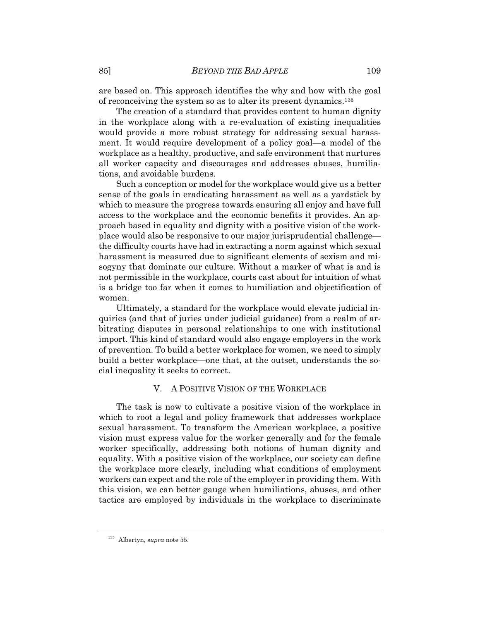are based on. This approach identifies the why and how with the goal of reconceiving the system so as to alter its present dynamics.135

The creation of a standard that provides content to human dignity in the workplace along with a re-evaluation of existing inequalities would provide a more robust strategy for addressing sexual harassment. It would require development of a policy goal—a model of the workplace as a healthy, productive, and safe environment that nurtures all worker capacity and discourages and addresses abuses, humiliations, and avoidable burdens.

Such a conception or model for the workplace would give us a better sense of the goals in eradicating harassment as well as a yardstick by which to measure the progress towards ensuring all enjoy and have full access to the workplace and the economic benefits it provides. An approach based in equality and dignity with a positive vision of the workplace would also be responsive to our major jurisprudential challenge the difficulty courts have had in extracting a norm against which sexual harassment is measured due to significant elements of sexism and misogyny that dominate our culture. Without a marker of what is and is not permissible in the workplace, courts cast about for intuition of what is a bridge too far when it comes to humiliation and objectification of women.

Ultimately, a standard for the workplace would elevate judicial inquiries (and that of juries under judicial guidance) from a realm of arbitrating disputes in personal relationships to one with institutional import. This kind of standard would also engage employers in the work of prevention. To build a better workplace for women, we need to simply build a better workplace—one that, at the outset, understands the social inequality it seeks to correct.

# V. A POSITIVE VISION OF THE WORKPLACE

The task is now to cultivate a positive vision of the workplace in which to root a legal and policy framework that addresses workplace sexual harassment. To transform the American workplace, a positive vision must express value for the worker generally and for the female worker specifically, addressing both notions of human dignity and equality. With a positive vision of the workplace, our society can define the workplace more clearly, including what conditions of employment workers can expect and the role of the employer in providing them. With this vision, we can better gauge when humiliations, abuses, and other tactics are employed by individuals in the workplace to discriminate

<sup>135</sup> Albertyn, *supra* note 55.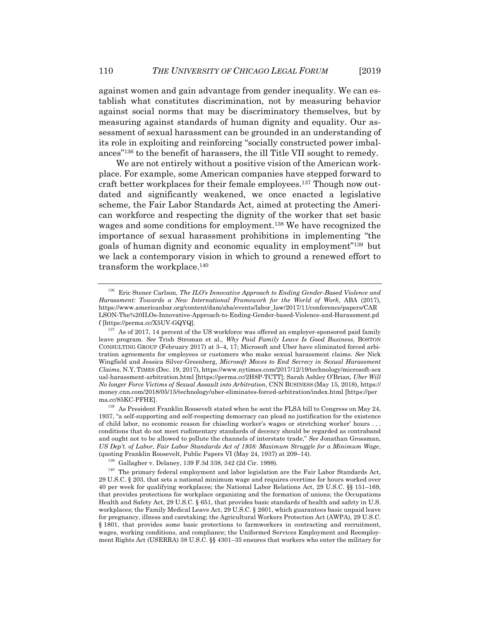against women and gain advantage from gender inequality. We can establish what constitutes discrimination, not by measuring behavior against social norms that may be discriminatory themselves, but by measuring against standards of human dignity and equality. Our assessment of sexual harassment can be grounded in an understanding of its role in exploiting and reinforcing "socially constructed power imbalances"136 to the benefit of harassers, the ill Title VII sought to remedy.

We are not entirely without a positive vision of the American workplace. For example, some American companies have stepped forward to craft better workplaces for their female employees.137 Though now outdated and significantly weakened, we once enacted a legislative scheme, the Fair Labor Standards Act, aimed at protecting the American workforce and respecting the dignity of the worker that set basic wages and some conditions for employment.138 We have recognized the importance of sexual harassment prohibitions in implementing "the goals of human dignity and economic equality in employment"139 but we lack a contemporary vision in which to ground a renewed effort to transform the workplace.140

<sup>136</sup> Eric Stener Carlson, *The ILO's Innovative Approach to Ending Gender-Based Violence and Harassment: Towards a New International Framework for the World of Work*, ABA (2017), https://www.americanbar.org/content/dam/aba/events/labor\_law/2017/11/conference/papers/CAR LSON-The%20ILOs-Innovative-Approach-to-Ending-Gender-based-Violence-and-Harassment.pd f [https://perma.cc/X5UV-GQYQ]. 137 As of 2017, 14 percent of the US workforce was offered an employer-sponsored paid family

leave program. *See* Trish Stroman et al., *Why Paid Family Leave Is Good Business*, BOSTON CONSULTING GROUP (February 2017) at 3–4, 17; Microsoft and Uber have eliminated forced arbitration agreements for employees or customers who make sexual harassment claims. *See* Nick Wingfield and Jessica Silver-Greenberg, *Microsoft Moves to End Secrecy in Sexual Harassment Claims*, N.Y. TIMES (Dec. 19, 2017), https://www.nytimes.com/2017/12/19/technology/microsoft-sex ual-harassment-arbitration.html [https://perma.cc/2H8P-TCTT]; Sarah Ashley O'Brian, *Uber Will No longer Force Victims of Sexual Assault into Arbitration*, CNN BUSINESS (May 15, 2018), https:// money.cnn.com/2018/05/15/technology/uber-eliminates-forced-arbitration/index.html [https://per

 $^{138}$  As President Franklin Roosevelt stated when he sent the FLSA bill to Congress on May 24, 1937, "a self-supporting and self-respecting democracy can plead no justification for the existence of child labor, no economic reason for chiseling worker's wages or stretching worker' hours . . . conditions that do not meet rudimentary standards of decency should be regarded as contraband and ought not to be allowed to pollute the channels of interstate trade," *See* Jonathan Grossman, *US Dep't. of Labor, Fair Labor Standards Act of 1938: Maximum Struggle for a Minimum Wage*,

<sup>(</sup>quoting Franklin Roosevelt, Public Papers VI (May 24, 1937) at 209–14).<br><sup>139</sup> Gallagher v. Delaney, 139 F.3d 338, 342 (2d Cir. 1998).<br><sup>140</sup> The primary federal employment and labor legislation are the Fair Labor Standard 29 U.S.C. § 203, that sets a national minimum wage and requires overtime for hours worked over 40 per week for qualifying workplaces; the National Labor Relations Act, 29 U.S.C. §§ 151–169, that provides protections for workplace organizing and the formation of unions; the Occupations Health and Safety Act, 29 U.S.C. § 651, that provides basic standards of health and safety in U.S. workplaces; the Family Medical Leave Act, 29 U.S.C. § 2601, which guarantees basic unpaid leave for pregnancy, illness and caretaking; the Agricultural Workers Protection Act (AWPA), 29 U.S.C. § 1801, that provides some basic protections to farmworkers in contracting and recruitment, wages, working conditions, and compliance; the Uniformed Services Employment and Reemployment Rights Act (USERRA) 38 U.S.C. §§ 4301–35 ensures that workers who enter the military for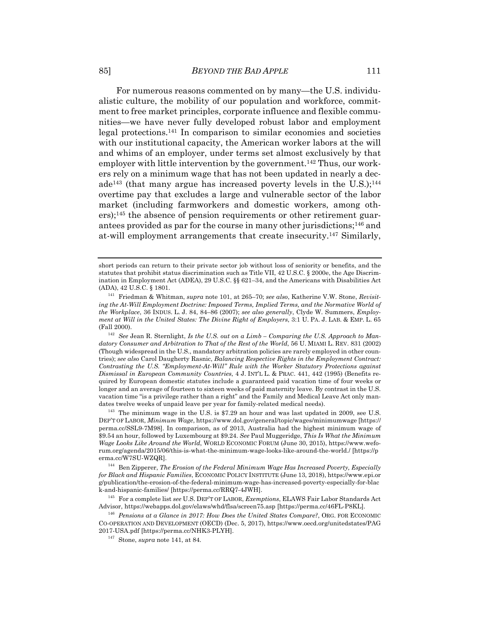For numerous reasons commented on by many—the U.S. individualistic culture, the mobility of our population and workforce, commitment to free market principles, corporate influence and flexible communities—we have never fully developed robust labor and employment legal protections.141 In comparison to similar economies and societies with our institutional capacity, the American worker labors at the will and whims of an employer, under terms set almost exclusively by that employer with little intervention by the government.<sup>142</sup> Thus, our workers rely on a minimum wage that has not been updated in nearly a decade<sup>143</sup> (that many argue has increased poverty levels in the U.S.);<sup>144</sup> overtime pay that excludes a large and vulnerable sector of the labor market (including farmworkers and domestic workers, among others);145 the absence of pension requirements or other retirement guarantees provided as par for the course in many other jurisdictions; $146$  and at-will employment arrangements that create insecurity.147 Similarly,

short periods can return to their private sector job without loss of seniority or benefits, and the statutes that prohibit status discrimination such as Title VII, 42 U.S.C. § 2000e, the Age Discrimination in Employment Act (ADEA), 29 U.S.C. §§ 621–34, and the Americans with Disabilities Act (ADA), 42 U.S.C. § 1801.

<sup>&</sup>lt;sup>141</sup> Friedman & Whitman, *supra* note 101, at 265–70; *see also*, Katherine V.W. Stone, *Revisiting the At-Will Employment Doctrine: Imposed Terms, Implied Terms, and the Normative World of the Workplace*, 36 INDUS. L. J. 84, 84–86 (2007); *see also generally*, Clyde W. Summers, *Employment at Will in the United States: The Divine Right of Employers*, 3:1 U. PA. J. LAB. & EMP. L. 65 (Fall 2000). 142 *See* Jean R. Sternlight, *Is the U.S. out on a Limb – Comparing the U.S. Approach to Man-*

*datory Consumer and Arbitration to That of the Rest of the World*, 56 U. MIAMI L. REV. 831 (2002) (Though widespread in the U.S., mandatory arbitration policies are rarely employed in other countries); *see also* Carol Daugherty Rasnic, *Balancing Respective Rights in the Employment Contract: Contrasting the U.S. "Employment-At-Will" Rule with the Worker Statutory Protections against Dismissal in European Community Countries*, 4 J. INT'L L. & PRAC. 441, 442 (1995) (Benefits required by European domestic statutes include a guaranteed paid vacation time of four weeks or longer and an average of fourteen to sixteen weeks of paid maternity leave. By contrast in the U.S. vacation time "is a privilege rather than a right" and the Family and Medical Leave Act only man-

dates twelve weeks of unpaid leave per year for family-related medical needs).<br><sup>143</sup> The minimum wage in the U.S. is \$7.29 an hour and was last updated in 2009, see U.S. DEP'T OF LABOR, *Minimum Wage*, https://www.dol.gov/general/topic/wages/minimumwage [https:// perma.cc/SSL9-7M98]. In comparison, as of 2013, Australia had the highest minimum wage of \$9.54 an hour, followed by Luxembourg at \$9.24. *See* Paul Muggeridge, *This Is What the Minimum Wage Looks Like Around the World*, WORLD ECONOMIC FORUM (June 30, 2015), https://www.weforum.org/agenda/2015/06/this-is-what-the-minimum-wage-looks-like-around-the-world./ [https://p

erma.cc/W7SU-WZQR]. 144 Ben Zipperer, *The Erosion of the Federal Minimum Wage Has Increased Poverty, Especially for Black and Hispanic Families*, ECONOMIC POLICY INSTITUTE (June 13, 2018), https://www.epi.or g/publication/the-erosion-of-the-federal-minimum-wage-has-increased-poverty-especially-for-blac<br>k-and-hispanic-families/ [https://perma.cc/RRQ7-4JWH].

<sup>&</sup>lt;sup>145</sup> For a complete list *see* U.S. DEP'T OF LABOR, *Exemptions*, ELAWS Fair Labor Standards Act Advisor, https://webapps.dol.gov/elaws/whd/flsa/screen75.asp [https://perma.cc/46FL-P8KL]. 146 *Pensions at a Glance in 2017: How Does the United States Compare?*, ORG. FOR ECONOMIC

CO-OPERATION AND DEVELOPMENT (OECD) (Dec. 5, 2017), https://www.oecd.org/unitedstates/PAG 2017-USA.pdf [https://perma.cc/NHK3-PLYH]. 147 Stone, *supra* note 141, at 84.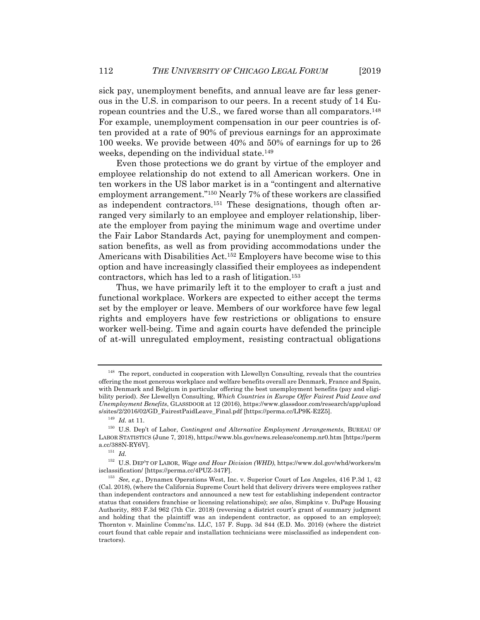sick pay, unemployment benefits, and annual leave are far less generous in the U.S. in comparison to our peers. In a recent study of 14 European countries and the U.S., we fared worse than all comparators.148 For example, unemployment compensation in our peer countries is often provided at a rate of 90% of previous earnings for an approximate 100 weeks. We provide between 40% and 50% of earnings for up to 26 weeks, depending on the individual state.<sup>149</sup>

Even those protections we do grant by virtue of the employer and employee relationship do not extend to all American workers. One in ten workers in the US labor market is in a "contingent and alternative employment arrangement."150 Nearly 7% of these workers are classified as independent contractors.151 These designations, though often arranged very similarly to an employee and employer relationship, liberate the employer from paying the minimum wage and overtime under the Fair Labor Standards Act, paying for unemployment and compensation benefits, as well as from providing accommodations under the Americans with Disabilities Act.152 Employers have become wise to this option and have increasingly classified their employees as independent contractors, which has led to a rash of litigation.153

Thus, we have primarily left it to the employer to craft a just and functional workplace. Workers are expected to either accept the terms set by the employer or leave. Members of our workforce have few legal rights and employers have few restrictions or obligations to ensure worker well-being. Time and again courts have defended the principle of at-will unregulated employment, resisting contractual obligations

 $^{148}\,$  The report, conducted in cooperation with Llewellyn Consulting, reveals that the countries offering the most generous workplace and welfare benefits overall are Denmark, France and Spain, with Denmark and Belgium in particular offering the best unemployment benefits (pay and eligibility period). *See* Llewellyn Consulting, *Which Countries in Europe Offer Fairest Paid Leave and Unemployment Benefits*, GLASSDOOR at 12 (2016), https://www.glassdoor.com/research/app/upload

s/sites/2/2016/02/GD\_FairestPaidLeave\_Final.pdf [https://perma.cc/LP9K-E2Z5]. 149 *Id.* at 11. 150 U.S. Dep't of Labor, *Contingent and Alternative Employment Arrangements*, BUREAU OF LABOR STATISTICS (June 7, 2018), https://www.bls.gov/news.release/conemp.nr0.htm [https://perm a.cc/388N-RY6V].  $151\;\; Id.$ 

<sup>152</sup> U.S. DEP'T OF LABOR, *Wage and Hour Division (WHD)*, https://www.dol.gov/whd/workers/m isclassification/ [https://perma.cc/4PUZ-347F]. 153 *See, e.g.*, Dynamex Operations West, Inc. v. Superior Court of Los Angeles, 416 P.3d 1, 42

<sup>(</sup>Cal. 2018), (where the California Supreme Court held that delivery drivers were employees rather than independent contractors and announced a new test for establishing independent contractor status that considers franchise or licensing relationships); *see also*, Simpkins v. DuPage Housing Authority, 893 F.3d 962 (7th Cir. 2018) (reversing a district court's grant of summary judgment and holding that the plaintiff was an independent contractor, as opposed to an employee); Thornton v. Mainline Commc'ns. LLC, 157 F. Supp. 3d 844 (E.D. Mo. 2016) (where the district court found that cable repair and installation technicians were misclassified as independent contractors).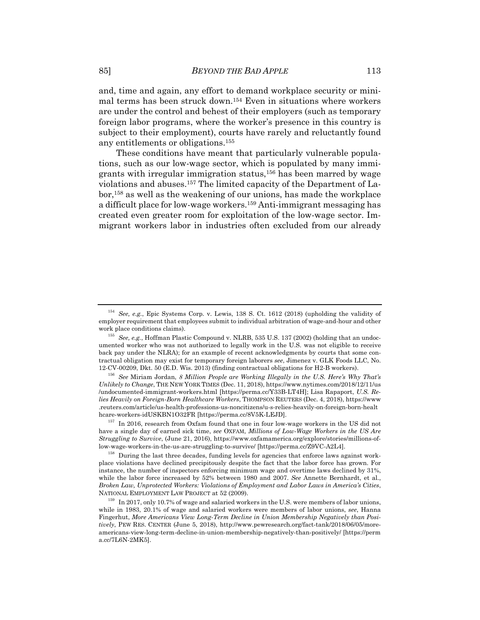and, time and again, any effort to demand workplace security or minimal terms has been struck down.154 Even in situations where workers are under the control and behest of their employers (such as temporary foreign labor programs, where the worker's presence in this country is subject to their employment), courts have rarely and reluctantly found any entitlements or obligations.155

These conditions have meant that particularly vulnerable populations, such as our low-wage sector, which is populated by many immigrants with irregular immigration status,156 has been marred by wage violations and abuses.157 The limited capacity of the Department of Labor,158 as well as the weakening of our unions, has made the workplace a difficult place for low-wage workers.159 Anti-immigrant messaging has created even greater room for exploitation of the low-wage sector. Immigrant workers labor in industries often excluded from our already

<sup>154</sup> *See, e.g.*, Epic Systems Corp. v. Lewis, 138 S. Ct. 1612 (2018) (upholding the validity of employer requirement that employees submit to individual arbitration of wage-and-hour and other work place conditions claims). 155 *See, e.g.*, Hoffman Plastic Compound v. NLRB, 535 U.S. 137 (2002) (holding that an undoc-

umented worker who was not authorized to legally work in the U.S. was not eligible to receive back pay under the NLRA); for an example of recent acknowledgments by courts that some contractual obligation may exist for temporary foreign laborers *see*, Jimenez v. GLK Foods LLC, No. 12-CV-00209, Dkt. 50 (E.D. Wis. 2013) (finding contractual obligations for H2-B workers).

<sup>156</sup> *See* Miriam Jordan, *8 Million People are Working Illegally in the U.S. Here's Why That's Unlikely to Change*, THE NEW YORK TIMES (Dec. 11, 2018), https://www.nytimes.com/2018/12/11/us /undocumented-immigrant-workers.html [https://perma.cc/Y33B-LT4H]; Lisa Rapaport, *U.S. Relies Heavily on Foreign-Born Healthcare Workers*, THOMPSON REUTERS (Dec. 4, 2018), https://www .reuters.com/article/us-health-professions-us-noncitizens/u-s-relies-heavily-on-foreign-born-healt hcare-workers-idUSKBN1O32FR [https://perma.cc/8V5K-LEJD].<br><sup>157</sup> In 2016, research from Oxfam found that one in four low-wage workers in the US did not

have a single day of earned sick time, *see* OXFAM, *Millions of Low-Wage Workers in the US Are Struggling to Survive*, (June 21, 2016), https://www.oxfamamerica.org/explore/stories/millions-oflow-wage-workers-in-the-us-are-struggling-to-survive/ [https://perma.cc/Z9VC-A2L4]. 158 During the last three decades, funding levels for agencies that enforce laws against work-

place violations have declined precipitously despite the fact that the labor force has grown. For instance, the number of inspectors enforcing minimum wage and overtime laws declined by 31%, while the labor force increased by 52% between 1980 and 2007. *See* Annette Bernhardt, et al., *Broken Law, Unprotected Workers: Violations of Employment and Labor Laws in America's Cities*, NATIONAL EMPLOYMENT LAW PROJECT at 52 (2009).<br><sup>159</sup> In 2017, only 10.7% of wage and salaried workers in the U.S. were members of labor unions,

while in 1983, 20.1% of wage and salaried workers were members of labor unions, *see*, Hanna Fingerhut, *More Americans View Long-Term Decline in Union Membership Negatively than Positively*, PEW RES. CENTER (June 5, 2018), http://www.pewresearch.org/fact-tank/2018/06/05/moreamericans-view-long-term-decline-in-union-membership-negatively-than-positively/ [https://perm a.cc/7L6N-2MK5].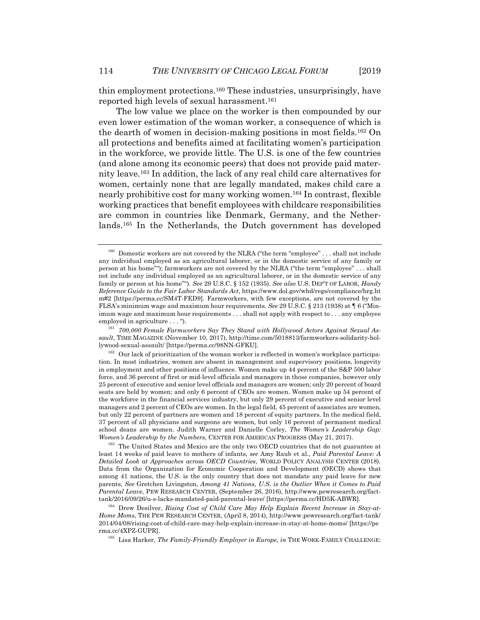thin employment protections.160 These industries, unsurprisingly, have reported high levels of sexual harassment.<sup>161</sup>

The low value we place on the worker is then compounded by our even lower estimation of the woman worker, a consequence of which is the dearth of women in decision-making positions in most fields.162 On all protections and benefits aimed at facilitating women's participation in the workforce, we provide little. The U.S. is one of the few countries (and alone among its economic peers) that does not provide paid maternity leave.163 In addition, the lack of any real child care alternatives for women, certainly none that are legally mandated, makes child care a nearly prohibitive cost for many working women.164 In contrast, flexible working practices that benefit employees with childcare responsibilities are common in countries like Denmark, Germany, and the Netherlands.165 In the Netherlands, the Dutch government has developed

 $160$  Domestic workers are not covered by the NLRA ("the term "employee" . . . shall not include any individual employed as an agricultural laborer, or in the domestic service of any family or person at his home""); farmworkers are not covered by the NLRA ("the term "employee" . . . shall not include any individual employed as an agricultural laborer, or in the domestic service of any family or person at his home""). *See* 29 U.S.C. § 152 (1935). *See also* U.S. DEP'T OF LABOR, *Handy Reference Guide to the Fair Labor Standards Act*, https://www.dol.gov/whd/regs/compliance/hrg.ht m#2 [https://perma.cc/SM4T-FED9]. Farmworkers, with few exceptions, are not covered by the FLSA's minimum wage and maximum hour requirements. *See* 29 U.S.C. § 213 (1938) at ¶ 6 ("Minimum wage and maximum hour requirements . . . shall not apply with respect to . . . any employee

employed in agriculture . . . ").<br><sup>161</sup> *700,000 Female Farmworkers Say They Stand with Hollywood Actors Against Sexual Assault*, TIME MAGAZINE (November 10, 2017), http://time.com/5018813/farmworkers-solidarity-hollywood-sexual-assault/ [https://perma.cc/98NN-GFKU]. 162 Our lack of prioritization of the woman worker is reflected in women's workplace participa-

tion. In most industries, women are absent in management and supervisory positions, longevity in employment and other positions of influence. Women make up 44 percent of the S&P 500 labor force, and 36 percent of first or mid-level officials and managers in those companies, however only 25 percent of executive and senior level officials and managers are women; only 20 percent of board seats are held by women; and only 6 percent of CEOs are women. Women make up 54 percent of the workforce in the financial services industry, but only 29 percent of executive and senior level managers and 2 percent of CEOs are women. In the legal field, 45 percent of associates are women, but only 22 percent of partners are women and 18 percent of equity partners. In the medical field, 37 percent of all physicians and surgeons are women, but only 16 percent of permanent medical school deans are women. Judith Warner and Danielle Corley, *The Women's Leadership Gap: Women's Leadership by the Numbers*, CENTER FOR AMERICAN PROGRESS (May 21, 2017).<br><sup>163</sup> The United States and Mexico are the only two OECD countries that do not guarantee at

least 14 weeks of paid leave to mothers of infants, *see* Amy Raub et al., *Paid Parental Leave: A Detailed Look at Approaches across OECD Countries*, WORLD POLICY ANALYSIS CENTER (2018). Data from the Organization for Economic Cooperation and Development (OECD) shows that among 41 nations, the U.S. is the only country that does not mandate any paid leave for new parents, *See* Gretchen Livingston, *Among 41 Nations, U.S. is the Outlier When it Comes to Paid Parental Leave*, PEW RESEARCH CENTER, (September 26, 2016), http://www.pewresearch.org/facttank/2016/09/26/u-s-lacks-mandated-paid-parental-leave/ [https://perma.cc/HD5K-ABWR]. 164 Drew Desilver, *Rising Cost of Child Care May Help Explain Recent Increase in Stay-at-*

*Home Moms*, THE PEW RESEARCH CENTER, (April 8, 2014), http://www.pewresearch.org/fact-tank/ 2014/04/08/rising-cost-of-child-care-may-help-explain-increase-in-stay-at-home-moms/ [https://pe rma.cc/4XPZ-GUPR]. 165 Lisa Harker, *The Family-Friendly Employer in Europe*, *in* THE WORK-FAMILY CHALLENGE: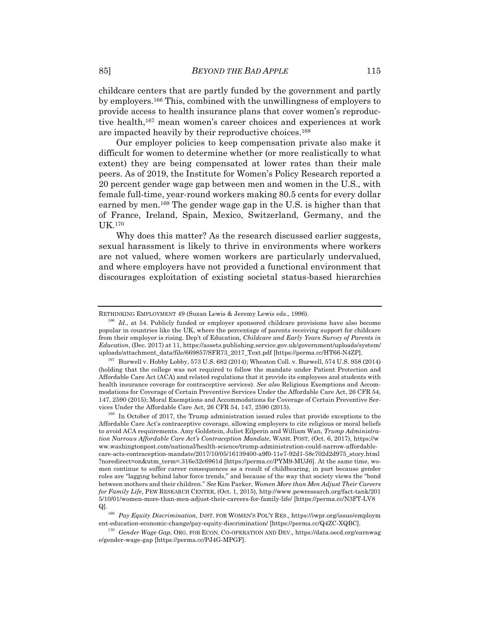childcare centers that are partly funded by the government and partly by employers.166 This, combined with the unwillingness of employers to provide access to health insurance plans that cover women's reproductive health,167 mean women's career choices and experiences at work are impacted heavily by their reproductive choices.168

Our employer policies to keep compensation private also make it difficult for women to determine whether (or more realistically to what extent) they are being compensated at lower rates than their male peers. As of 2019, the Institute for Women's Policy Research reported a 20 percent gender wage gap between men and women in the U.S., with female full-time, year-round workers making 80.5 cents for every dollar earned by men.169 The gender wage gap in the U.S. is higher than that of France, Ireland, Spain, Mexico, Switzerland, Germany, and the UK.170

Why does this matter? As the research discussed earlier suggests, sexual harassment is likely to thrive in environments where workers are not valued, where women workers are particularly undervalued, and where employers have not provided a functional environment that discourages exploitation of existing societal status-based hierarchies

RETHINKING EMPLOYMENT 49 (Suzan Lewis & Jeremy Lewis eds., 1996).<br><sup>166</sup> *Id.*, at 54. Publicly funded or employer sponsored childcare provisions have also become popular in countries like the UK, where the percentage of parents receiving support for childcare from their employer is rising. Dep't of Education, *Childcare and Early Years Survey of Parents in Education*, (Dec. 2017) at 11, https://assets.publishing.service.gov.uk/government/uploads/system/ uploads/attachment\_data/file/669857/SFR73\_2017\_Text.pdf [https://perma.cc/HT66-N4ZP].<br><sup>167</sup> Burwell v. Hobby Lobby, 573 U.S. 682 (2014); Wheaton Coll. v. Burwell, 574 U.S. 958 (2014)

<sup>(</sup>holding that the college was not required to follow the mandate under Patient Protection and Affordable Care Act (ACA) and related regulations that it provide its employees and students with health insurance coverage for contraceptive services). *See also* Religious Exemptions and Accommodations for Coverage of Certain Preventive Services Under the Affordable Care Act, 26 CFR 54, 147, 2590 (2015); Moral Exemptions and Accommodations for Coverage of Certain Preventive Services Under the Affordable Care Act, 26 CFR 54, 147, 2590 (2015).<br><sup>168</sup> In October of 2017, the Trump administration issued rules that provide exceptions to the

Affordable Care Act's contraceptive coverage, allowing employers to cite religious or moral beliefs to avoid ACA requirements. Amy Goldstein, Juliet Eilperin and William Wan, *Trump Administration Narrows Affordable Care Act's Contraception Mandate*, WASH. POST, (Oct. 6, 2017), https://w ww.washingtonpost.com/national/health-science/trump-administration-could-narrow-affordablecare-acts-contraception-mandate/2017/10/05/16139400-a9f0-11e7-92d1-58c702d2d975\_story.html ?noredirect=on&utm\_term=.316e32c6961d [https://perma.cc/PYM9-MUJ6]. At the same time, women continue to suffer career consequences as a result of childbearing, in part because gender roles are "lagging behind labor force trends," and because of the way that society views the "bond between mothers and their children." *See* Kim Parker, *Women More than Men Adjust Their Careers for Family Life*, PEW RESEARCH CENTER, (Oct. 1, 2015), http://www.pewresearch.org/fact-tank/201 5/10/01/women-more-than-men-adjust-their-careers-for-family-life/ [https://perma.cc/N3FT-LV8 Q]. 169 *Pay Equity Discrimination*, INST. FOR WOMEN'S POL'Y RES., https://iwpr.org/issue/employm

ent-education-economic-change/pay-equity-discrimination/ [https://perma.cc/Q4ZC-XQBC]. 170 *Gender Wage Gap*, ORG. FOR ECON. CO-OPERATION AND DEV., https://data.oecd.org/earnwag

e/gender-wage-gap [https://perma.cc/PJ4G-MPGF].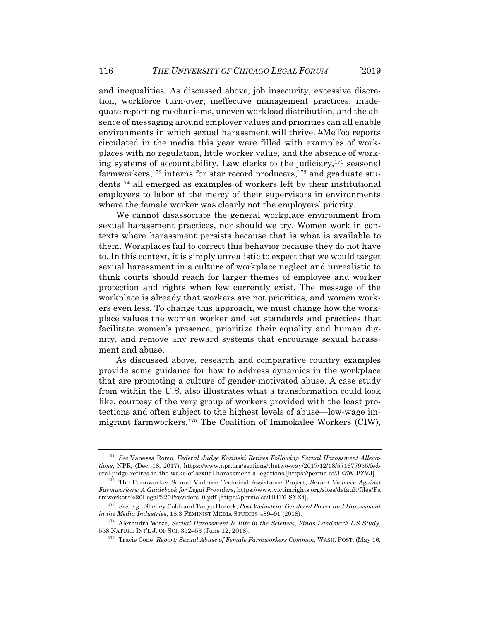and inequalities. As discussed above, job insecurity, excessive discretion, workforce turn-over, ineffective management practices, inadequate reporting mechanisms, uneven workload distribution, and the absence of messaging around employer values and priorities can all enable environments in which sexual harassment will thrive. #MeToo reports circulated in the media this year were filled with examples of workplaces with no regulation, little worker value, and the absence of working systems of accountability. Law clerks to the judiciary,171 seasonal farmworkers,172 interns for star record producers,173 and graduate students174 all emerged as examples of workers left by their institutional employers to labor at the mercy of their supervisors in environments where the female worker was clearly not the employers' priority.

We cannot disassociate the general workplace environment from sexual harassment practices, nor should we try. Women work in contexts where harassment persists because that is what is available to them. Workplaces fail to correct this behavior because they do not have to. In this context, it is simply unrealistic to expect that we would target sexual harassment in a culture of workplace neglect and unrealistic to think courts should reach for larger themes of employee and worker protection and rights when few currently exist. The message of the workplace is already that workers are not priorities, and women workers even less. To change this approach, we must change how the workplace values the woman worker and set standards and practices that facilitate women's presence, prioritize their equality and human dignity, and remove any reward systems that encourage sexual harassment and abuse.

As discussed above, research and comparative country examples provide some guidance for how to address dynamics in the workplace that are promoting a culture of gender-motivated abuse. A case study from within the U.S. also illustrates what a transformation could look like, courtesy of the very group of workers provided with the least protections and often subject to the highest levels of abuse—low-wage immigrant farmworkers.175 The Coalition of Immokalee Workers (CIW),

<sup>171</sup> *See* Vanessa Romo, *Federal Judge Kozinski Retires Following Sexual Harassment Allegations*, NPR, (Dec. 18, 2017), https://www.npr.org/sections/thetwo-way/2017/12/18/571677955/federal-judge-retires-in-the-wake-of-sexual-harassment-allegations [https://perma.cc/3EZW-BZVJ]. 172 The Farmworker Sexual Violence Technical Assistance Project, *Sexual Violence Against* 

*Farmworkers: A Guidebook for Legal Providers*, https://www.victimrights.org/sites/default/files/Fa

<sup>&</sup>lt;sup>173</sup> See, e.g., Shelley Cobb and Tanya Horeck, *Post Weinstein: Gendered Power and Harassment* in the Media Industries, 18:3 FEMINIST MEDIA STUDIES 489–91 (2018).

<sup>&</sup>lt;sup>174</sup> Alexandra Witze, *Sexual Harassment Is Rife in the Sciences, Finds Landmark US Study*, 558 NATURE INT'L J. OF SCI. 352–53 (June 12, 2018). 175 Tracie Cone, *Report: Sexual Abuse of Female Farmworkers Common*, WASH. POST, (May 16,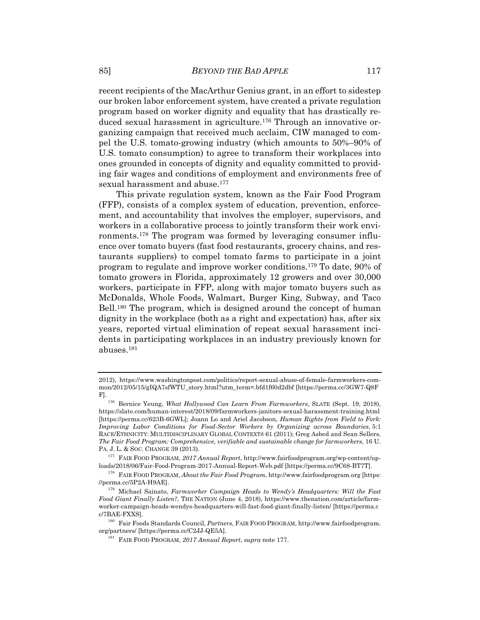recent recipients of the MacArthur Genius grant, in an effort to sidestep our broken labor enforcement system, have created a private regulation program based on worker dignity and equality that has drastically reduced sexual harassment in agriculture.176 Through an innovative organizing campaign that received much acclaim, CIW managed to compel the U.S. tomato-growing industry (which amounts to 50%–90% of U.S. tomato consumption) to agree to transform their workplaces into ones grounded in concepts of dignity and equality committed to providing fair wages and conditions of employment and environments free of sexual harassment and abuse.<sup>177</sup>

This private regulation system, known as the Fair Food Program (FFP), consists of a complex system of education, prevention, enforcement, and accountability that involves the employer, supervisors, and workers in a collaborative process to jointly transform their work environments.178 The program was formed by leveraging consumer influence over tomato buyers (fast food restaurants, grocery chains, and restaurants suppliers) to compel tomato farms to participate in a joint program to regulate and improve worker conditions.179 To date, 90% of tomato growers in Florida, approximately 12 growers and over 30,000 workers, participate in FFP, along with major tomato buyers such as McDonalds, Whole Foods, Walmart, Burger King, Subway, and Taco Bell.180 The program, which is designed around the concept of human dignity in the workplace (both as a right and expectation) has, after six years, reported virtual elimination of repeat sexual harassment incidents in participating workplaces in an industry previously known for abuses.181

<sup>2012),</sup> https://www.washingtonpost.com/politics/report-sexual-abuse-of-female-farmworkers-common/2012/05/15/gIQA7sfWTU\_story.html?utm\_term=.bfd1f60d2dbf [https://perma.cc/3GW7-Q8F F]. 176 Bernice Yeung, *What Hollywood Can Learn From Farmworkers*, SLATE (Sept. 19, 2018),

https://slate.com/human-interest/2018/09/farmworkers-janitors-sexual-harassment-training.html [https://perma.cc/623B-6GWL]; Joann Lo and Ariel Jacobson, *Human Rights from Field to Fork: Improving Labor Conditions for Food-Sector Workers by Organizing across Boundaries*, 5:1 RACE/ETHNICITY: MULTIDISCIPLINARY GLOBAL CONTEXTS 61 (2011); Greg Asbed and Sean Sellers, *The Fair Food Program: Comprehensive, verifiable and sustainable change for farmworkers*, 16 U.

PA. J. L. & SOC. CHANGE 39 (2013). 177 FAIR FOOD PROGRAM, *2017 Annual Report*, http://www.fairfoodprogram.org/wp-content/up-

<sup>&</sup>lt;sup>178</sup> FAIR FOOD PROGRAM, *About the Fair Food Program*, http://www.fairfoodprogram.org [https://perma.cc/5P2A-H9AE].

<sup>&</sup>lt;sup>179</sup> Michael Sainato, *Farmworker Campaign Heads to Wendy's Headquarters: Will the Fast Food Giant Finally Listen?*, THE NATION (June 4, 2018), https://www.thenation.com/article/farmworker-campaign-heads-wendys-headquarters-will-fast-food-giant-finally-listen/ [https://perma.c c/7BAE-FXXS]. 180 Fair Foods Standards Council, *Partners*, FAIR FOOD PROGRAM, http://www.fairfoodprogram.

org/partners/ [https://perma.cc/C2JJ-QE5A]. 181 FAIR FOOD PROGRAM, *2017 Annual Report*, *supra* note 177.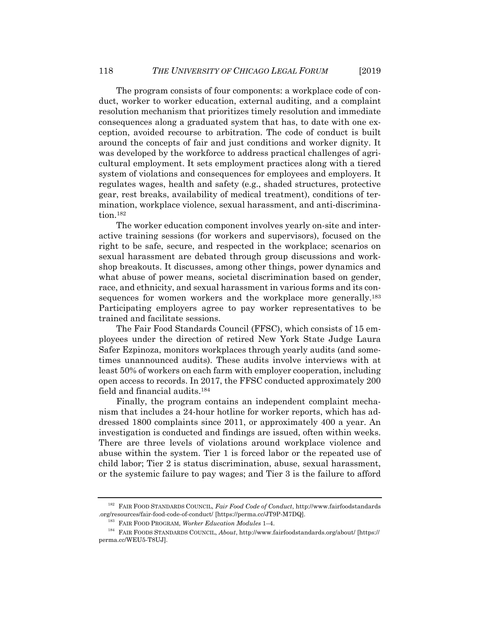The program consists of four components: a workplace code of conduct, worker to worker education, external auditing, and a complaint resolution mechanism that prioritizes timely resolution and immediate consequences along a graduated system that has, to date with one exception, avoided recourse to arbitration. The code of conduct is built around the concepts of fair and just conditions and worker dignity. It was developed by the workforce to address practical challenges of agricultural employment. It sets employment practices along with a tiered system of violations and consequences for employees and employers. It regulates wages, health and safety (e.g., shaded structures, protective gear, rest breaks, availability of medical treatment), conditions of termination, workplace violence, sexual harassment, and anti-discrimination.182

The worker education component involves yearly on-site and interactive training sessions (for workers and supervisors), focused on the right to be safe, secure, and respected in the workplace; scenarios on sexual harassment are debated through group discussions and workshop breakouts. It discusses, among other things, power dynamics and what abuse of power means, societal discrimination based on gender, race, and ethnicity, and sexual harassment in various forms and its consequences for women workers and the workplace more generally.<sup>183</sup> Participating employers agree to pay worker representatives to be trained and facilitate sessions.

The Fair Food Standards Council (FFSC), which consists of 15 employees under the direction of retired New York State Judge Laura Safer Ezpinoza, monitors workplaces through yearly audits (and sometimes unannounced audits). These audits involve interviews with at least 50% of workers on each farm with employer cooperation, including open access to records. In 2017, the FFSC conducted approximately 200 field and financial audits.184

Finally, the program contains an independent complaint mechanism that includes a 24-hour hotline for worker reports, which has addressed 1800 complaints since 2011, or approximately 400 a year. An investigation is conducted and findings are issued, often within weeks. There are three levels of violations around workplace violence and abuse within the system. Tier 1 is forced labor or the repeated use of child labor; Tier 2 is status discrimination, abuse, sexual harassment, or the systemic failure to pay wages; and Tier 3 is the failure to afford

<sup>182</sup> FAIR FOOD STANDARDS COUNCIL, *Fair Food Code of Conduct*, http://www.fairfoodstandards org/resources/fair-food-code-of-conduct/ [https://perma.cc/JT9P-M7DQ].<br><sup>183</sup> FAIR FOOD PROGRAM, *Worker Education Modules* 1–4.<br><sup>184</sup> FAIR FOODS STANDARDS COUNCIL, *About*, http://www.fairfoodstandards.org/about/ [https://

perma.cc/WEU5-T8UJ].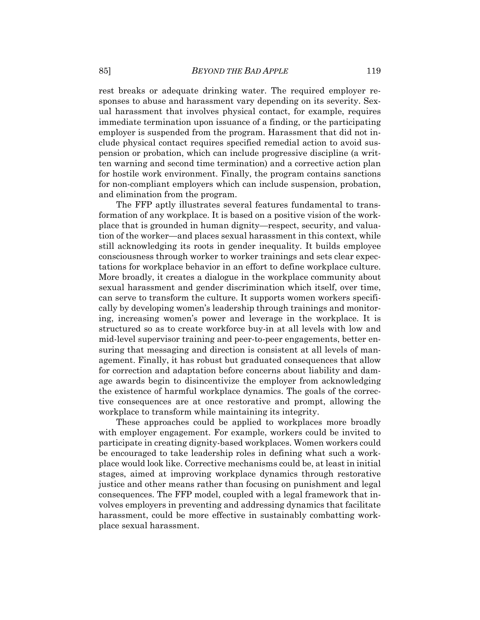rest breaks or adequate drinking water. The required employer responses to abuse and harassment vary depending on its severity. Sexual harassment that involves physical contact, for example, requires immediate termination upon issuance of a finding, or the participating employer is suspended from the program. Harassment that did not include physical contact requires specified remedial action to avoid suspension or probation, which can include progressive discipline (a written warning and second time termination) and a corrective action plan for hostile work environment. Finally, the program contains sanctions for non-compliant employers which can include suspension, probation, and elimination from the program.

The FFP aptly illustrates several features fundamental to transformation of any workplace. It is based on a positive vision of the workplace that is grounded in human dignity—respect, security, and valuation of the worker—and places sexual harassment in this context, while still acknowledging its roots in gender inequality. It builds employee consciousness through worker to worker trainings and sets clear expectations for workplace behavior in an effort to define workplace culture. More broadly, it creates a dialogue in the workplace community about sexual harassment and gender discrimination which itself, over time, can serve to transform the culture. It supports women workers specifically by developing women's leadership through trainings and monitoring, increasing women's power and leverage in the workplace. It is structured so as to create workforce buy-in at all levels with low and mid-level supervisor training and peer-to-peer engagements, better ensuring that messaging and direction is consistent at all levels of management. Finally, it has robust but graduated consequences that allow for correction and adaptation before concerns about liability and damage awards begin to disincentivize the employer from acknowledging the existence of harmful workplace dynamics. The goals of the corrective consequences are at once restorative and prompt, allowing the workplace to transform while maintaining its integrity.

These approaches could be applied to workplaces more broadly with employer engagement. For example, workers could be invited to participate in creating dignity-based workplaces. Women workers could be encouraged to take leadership roles in defining what such a workplace would look like. Corrective mechanisms could be, at least in initial stages, aimed at improving workplace dynamics through restorative justice and other means rather than focusing on punishment and legal consequences. The FFP model, coupled with a legal framework that involves employers in preventing and addressing dynamics that facilitate harassment, could be more effective in sustainably combatting workplace sexual harassment.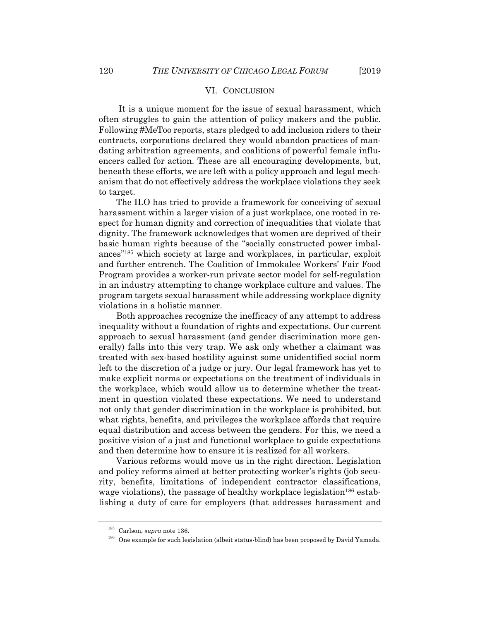#### VI. CONCLUSION

 It is a unique moment for the issue of sexual harassment, which often struggles to gain the attention of policy makers and the public. Following #MeToo reports, stars pledged to add inclusion riders to their contracts, corporations declared they would abandon practices of mandating arbitration agreements, and coalitions of powerful female influencers called for action. These are all encouraging developments, but, beneath these efforts, we are left with a policy approach and legal mechanism that do not effectively address the workplace violations they seek to target.

The ILO has tried to provide a framework for conceiving of sexual harassment within a larger vision of a just workplace, one rooted in respect for human dignity and correction of inequalities that violate that dignity. The framework acknowledges that women are deprived of their basic human rights because of the "socially constructed power imbalances"185 which society at large and workplaces, in particular, exploit and further entrench. The Coalition of Immokalee Workers' Fair Food Program provides a worker-run private sector model for self-regulation in an industry attempting to change workplace culture and values. The program targets sexual harassment while addressing workplace dignity violations in a holistic manner.

Both approaches recognize the inefficacy of any attempt to address inequality without a foundation of rights and expectations. Our current approach to sexual harassment (and gender discrimination more generally) falls into this very trap. We ask only whether a claimant was treated with sex-based hostility against some unidentified social norm left to the discretion of a judge or jury. Our legal framework has yet to make explicit norms or expectations on the treatment of individuals in the workplace, which would allow us to determine whether the treatment in question violated these expectations. We need to understand not only that gender discrimination in the workplace is prohibited, but what rights, benefits, and privileges the workplace affords that require equal distribution and access between the genders. For this, we need a positive vision of a just and functional workplace to guide expectations and then determine how to ensure it is realized for all workers.

Various reforms would move us in the right direction. Legislation and policy reforms aimed at better protecting worker's rights (job security, benefits, limitations of independent contractor classifications, wage violations), the passage of healthy workplace legislation<sup>186</sup> establishing a duty of care for employers (that addresses harassment and

<sup>&</sup>lt;sup>185</sup> Carlson, *supra* note 136.<br><sup>186</sup> One example for such legislation (albeit status-blind) has been proposed by David Yamada.